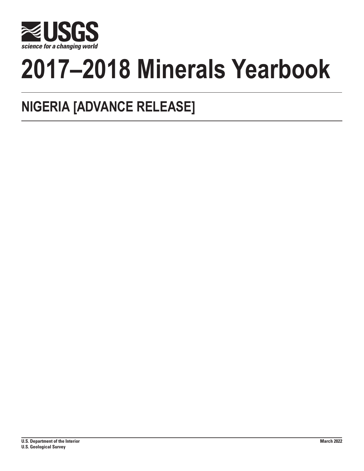

# **2017–2018 Minerals Yearbook**

## **NIGERIA [ADVANCE RELEASE]**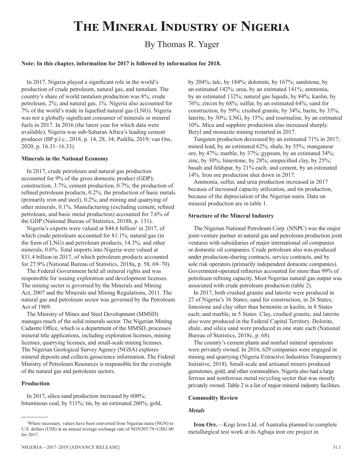## **The Mineral Industry of Nigeria**

### By Thomas R. Yager

#### **Note: In this chapter, information for 2017 is followed by information for 2018.**

In 2017, Nigeria played a significant role in the world's production of crude petroleum, natural gas, and tantalum. The country's share of world tantalum production was 8%; crude petroleum, 2%; and natural gas, 1%. Nigeria also accounted for 7% of the world's trade in liquefied natural gas (LNG). Nigeria was not a globally significant consumer of minerals or mineral fuels in 2017. In 2016 (the latest year for which data were available), Nigeria was sub-Saharan Africa's leading cement producer (BP p.l.c., 2018, p. 14, 28, 34; Padilla, 2019; van Oss, 2020, p. 16.31–16.33).

#### **Minerals in the National Economy**

In 2017, crude petroleum and natural gas production accounted for 9% of the gross domestic product (GDP); construction, 3.7%; cement production, 0.7%; the production of refined petroleum products, 0.2%; the production of basic metals (primarily iron and steel), 0.2%; and mining and quarrying of other minerals, 0.1%. Manufacturing (excluding cement, refined petroleum, and basic metal production) accounted for 7.6% of the GDP (National Bureau of Statistics, 2018b, p. 131).

Nigeria's exports were valued at \$44.6 billion<sup>1</sup> in 2017, of which crude petroleum accounted for 81.1%; natural gas (in the form of LNG) and petroleum products, 14.3%; and other minerals, 0.6%. Total imports into Nigeria were valued at \$31.4 billion in 2017, of which petroleum products accounted for 27.9% (National Bureau of Statistics, 2018a, p. 58, 69–70).

The Federal Government held all mineral rights and was responsible for issuing exploration and development licenses. The mining sector is governed by the Minerals and Mining Act, 2007 and the Minerals and Mining Regulations, 2011. The natural gas and petroleum sector was governed by the Petroleum Act of 1969.

The Ministry of Mines and Steel Development (MMSD) manages much of the solid minerals sector. The Nigerian Mining Cadastre Office, which is a department of the MMSD, processes mineral title applications, including exploration licenses, mining licenses, quarrying licenses, and small-scale mining licenses. The Nigerian Geological Survey Agency (NGSA) explores mineral deposits and collects geoscience information. The Federal Ministry of Petroleum Resources is responsible for the oversight of the natural gas and petroleum sectors.

#### **Production**

In 2017, silica sand production increased by 600%; bituminous coal, by 511%; tin, by an estimated 260%; gold, by 204%; talc, by 184%; dolomite, by 167%; sandstone, by an estimated 142%; urea, by an estimated 141%; ammonia, by an estimated 132%; natural gas liquids, by 84%; kaolin, by 76%; zircon by 68%; sulfur, by an estimated 64%; sand for construction, by 59%; crushed granite, by 34%; barite, by 33%; laterite, by 30%; LNG, by 15%; and tourmaline, by an estimated 10%. Mica and sapphire production also increased sharply. Beryl and monazite mining restarted in 2017.

Tungsten production decreased by an estimated 71% in 2017; mined lead, by an estimated 62%; shale, by 55%; manganese ore, by 47%; marble, by 37%; gypsum, by an estimated 34%; zinc, by 30%; limestone, by 28%; unspecified clay, by 25%; basalt and feldspar, by 21% each; and cement, by an estimated 14%. Iron ore production shut down in 2017.

Ammonia, sulfur, and urea production increased in 2017 because of increased capacity utilization, and tin production, because of the depreciation of the Nigerian naira. Data on mineral production are in table 1.

#### **Structure of the Mineral Industry**

The Nigerian National Petroleum Corp. (NNPC) was the major joint-venture partner in natural gas and petroleum production joint ventures with subsidiaries of major international oil companies or domestic oil companies. Crude petroleum also was produced under production-sharing contracts, service contracts, and by sole risk operators (primarily independent domestic companies). Government-operated refineries accounted for more than 99% of petroleum refining capacity. Most Nigerian natural gas output was associated with crude petroleum production (table 2).

In 2017, both crushed granite and laterite were produced in 27 of Nigeria's 36 States; sand for construction, in 26 States; limestone and clay other than bentonite or kaolin, in 8 States each; and marble, in 5 States. Clay, crushed granite, and laterite also were produced in the Federal Capital Territory. Dolorite, shale, and silica sand were produced in one state each (National Bureau of Statistics, 2018c, p. 68).

The country's cement plants and nonfuel mineral operations were privately owned. In 2016, 629 companies were engaged in mining and quarrying (Nigeria Extractive Industries Transparency Initiative, 2018). Small-scale and artisanal miners produced gemstones, gold, and other commodities. Nigeria also had a large ferrous and nonferrous metal recycling sector that was mostly privately owned. Table 2 is a list of major mineral industry facilities.

#### **Commodity Review**

#### *Metals*

**Iron Ore.**—Kogi Iron Ltd. of Australia planned to complete metallurgical test work at its Agbaja iron ore project in

<sup>&</sup>lt;sup>1</sup>Where necessary, values have been converted from Nigerian naira (NGN) to U.S. dollars (US\$) at an annual average exchange rate of NGN305.79=US\$1.00 for 2017.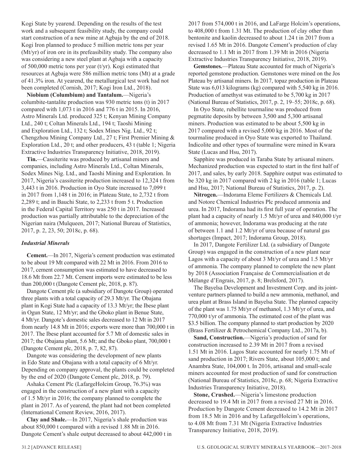Kogi State by yearend. Depending on the results of the test work and a subsequent feasibility study, the company could start construction of a new mine at Agbaja by the end of 2018. Kogi Iron planned to produce 5 million metric tons per year (Mt/yr) of iron ore in its prefeasibility study. The company also was considering a new steel plant at Agbaja with a capacity of 500,000 metric tons per year (t/yr). Kogi estimated that resources at Agbaja were 586 million metric tons (Mt) at a grade of 41.3% iron. At yearend, the metallurgical test work had not been completed (Cornish, 2017; Kogi Iron Ltd., 2018).

**Niobium (Columbium) and Tantalum.**—Nigeria's columbite-tantalite production was 930 metric tons (t) in 2017 compared with 1,073 t in 2016 and 776 t in 2015. In 2016, Astro Minerals Ltd. produced 325 t; Kenyan Mining Company Ltd., 240 t; Coltan Minerals Ltd., 194 t; Taoshi Mining and Exploration Ltd., 132 t; Sodex Mines Nig. Ltd., 92 t; Chengzhou Mining Company Ltd., 27 t; First Premier Mining & Exploration Ltd., 20 t; and other producers, 43 t (table 1; Nigeria Extractive Industries Transparency Initiative, 2018, 2019).

**Tin.**—Cassiterite was produced by artisanal miners and companies, including Astro Minerals Ltd., Coltan Minerals, Sodex Mines Nig. Ltd., and Taoshi Mining and Exploration. In 2017, Nigeria's cassiterite production increased to 12,324 t from 3,443 t in 2016. Production in Oyo State increased to 7,099 t in 2017 from 1,148 t in 2016; in Plateau State, to 2,732 t from 2,289 t; and in Bauchi State, to 2,233 t from 5 t. Production in the Federal Capital Territory was 250 t in 2017. Increased production was partially attributable to the depreciation of the Nigerian naira (Mulqueen, 2017; National Bureau of Statistics, 2017, p. 2, 23, 50; 2018c, p. 68).

#### *Industrial Minerals*

**Cement.**—In 2017, Nigeria's cement production was estimated to be about 19 Mt compared with 22 Mt in 2016. From 2016 to 2017, cement consumption was estimated to have decreased to 18.6 Mt from 22.7 Mt. Cement imports were estimated to be less than 200,000 t (Dangote Cement plc, 2018, p. 87).

Dangote Cement plc (a subsidiary of Dangote Group) operated three plants with a total capacity of 29.3 Mt/yr. The Obajana plant in Kogi State had a capacity of 13.3 Mt/yr; the Ibese plant in Ogun State, 12 Mt/yr; and the Gboko plant in Benue State, 4 Mt/yr. Dangote's domestic sales decreased to 12 Mt in 2017 from nearly 14.8 Mt in 2016; exports were more than 700,000 t in 2017. The Ibese plant accounted for 5.7 Mt of domestic sales in 2017; the Obajana plant, 5.6 Mt; and the Gboko plant, 700,000 t (Dangote Cement plc, 2018, p. 7, 82, 87).

Dangote was considering the development of new plants in Edo State and Obajana with a total capacity of 6 Mt/yr. Depending on company approval, the plants could be completed by the end of 2020 (Dangote Cement plc, 2018, p. 79).

Ashaka Cement Plc (LafargeHolcim Group, 76.3%) was engaged in the construction of a new plant with a capacity of 1.5 Mt/yr in 2016; the company planned to complete the plant in 2017. As of yearend, the plant had not been completed (International Cement Review, 2016, 2017).

**Clay and Shale.**—In 2017, Nigeria's shale production was about 850,000 t compared with a revised 1.88 Mt in 2016. Dangote Cement's shale output decreased to about 442,000 t in 2017 from 574,000 t in 2016, and LaFarge Holcim's operations, to 408,000 t from 1.31 Mt. The production of clay other than bentonite and kaolin decreased to about 1.24 t in 2017 from a revised 1.65 Mt in 2016. Dangote Cement's production of clay decreased to 1.1 Mt in 2017 from 1.39 Mt in 2016 (Nigeria Extractive Industries Transparency Initiative, 2018, 2019).

**Gemstones.**—Plateau State accounted for much of Nigeria's reported gemstone production. Gemstones were mined on the Jos Plateau by artisanal miners. In 2017, topaz production in Plateau State was 6,013 kilograms (kg) compared with 5,540 kg in 2016. Production of amethyst was estimated to be 5,700 kg in 2017 (National Bureau of Statistics, 2017, p. 2, 19–55; 2018c, p. 68).

In Oyo State, rubellite tourmaline was produced from pegmatite deposits by between 3,500 and 5,300 artisanal miners. Production was estimated to be about 5,500 kg in 2017 compared with a revised 5,000 kg in 2016. Most of the tourmaline produced in Oyo State was exported to Thailand. Indicolite and other types of tourmaline were mined in Kwara State (Lucas and Hsu, 2017).

Sapphire was produced in Taraba State by artisanal miners. Mechanized production was expected to start in the first half of 2017, and sales, by early 2018. Sapphire output was estimated to be 320 kg in 2017 compared with 2 kg in 2016 (table 1; Lucas and Hsu, 2017; National Bureau of Statistics, 2017, p. 2).

**Nitrogen.**—Indorama Eleme Fertilizers & Chemicals Ltd. and Notore Chemical Industries Plc produced ammonia and urea. In 2017, Indorama had its first full year of operation. The plant had a capacity of nearly 1.5 Mt/yr of urea and 840,000 t/yr of ammonia; however, Indorama was producing at the rate of between 1.1 and 1.2 Mt/yr of urea because of natural gas shortages (Impact, 2017; Indorama Group, 2018).

In 2017, Dangote Fertilizer Ltd. (a subsidiary of Dangote Group) was engaged in the construction of a new plant near Lagos with a capacity of about 3 Mt/yr of urea and 1.5 Mt/yr of ammonia. The company planned to complete the new plant by 2018 (Association Française de Commercialisation et de Mélange d'Engrais, 2017, p. 8; Brelsford, 2017).

The Bayelsa Development and Investment Corp. and its jointventure partners planned to build a new ammonia, methanol, and urea plant at Brass Island in Bayelsa State. The planned capacity of the plant was 1.75 Mt/yr of methanol, 1.3 Mt/yr of urea, and 770,000 t/yr of ammonia. The estimated cost of the plant was \$3.5 billion. The company planned to start production by 2020 (Brass Fertilizer & Petrochemical Company Ltd., 2017a, b).

**Sand, Construction.**—Nigeria's production of sand for construction increased to 2.39 Mt in 2017 from a revised 1.51 Mt in 2016. Lagos State accounted for nearly 1.75 Mt of sand production in 2017; Rivers State, about 105,000 t; and Anambra State, 104,000 t. In 2016, artisanal and small-scale miners accounted for most production of sand for construction (National Bureau of Statistics, 2018c, p. 68; Nigeria Extractive Industries Transparency Initiative, 2018).

**Stone, Crushed.**—Nigeria's limestone production decreased to 19.4 Mt in 2017 from a revised 27 Mt in 2016. Production by Dangote Cement decreased to 14.2 Mt in 2017 from 18.5 Mt in 2016 and by LafargeHolcim's operations, to 4.08 Mt from 7.31 Mt (Nigeria Extractive Industries Transparency Initiative, 2018, 2019).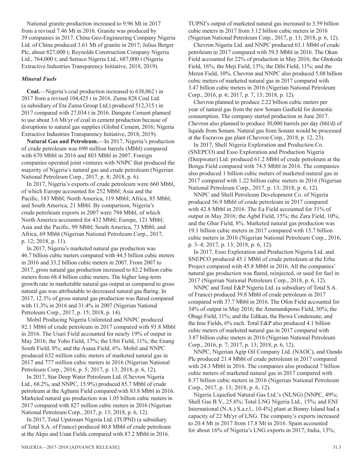National granite production increased to 9.96 Mt in 2017 from a revised 7.46 Mt in 2016. Granite was produced by 39 companies in 2017. China Geo-Engineering Company Nigeria Ltd. of China produced 3.61 Mt of granite in 2017; Julius Berger Plc, about 827,000 t; Reynolds Construction Company Nigeria Ltd., 764,000 t; and Setraco Nigeria Ltd., 687,000 t (Nigeria Extractive Industries Transparency Initiative, 2018, 2019).

#### *Mineral Fuels*

**Coal.**—Nigeria's coal production increased to 638,062 t in 2017 from a revised 104,425 t in 2016. Zuma 828 Coal Ltd. (a subsidiary of Eta Zuma Group Ltd.) produced 512,315 t in 2017 compared with 27,034 t in 2016. Dangote Cement planned to use about 3.6 Mt/yr of coal in cement production because of disruptions to natural gas supplies (Global Cement, 2016; Nigeria Extractive Industries Transparency Initiative, 2018, 2019).

**Natural Gas and Petroleum.**—In 2017, Nigeria's production of crude petroleum was 690 million barrels (Mbbl) compared with 670 Mbbl in 2016 and 803 Mbbl in 2007. Foreign companies operated joint ventures with NNPC that produced the majority of Nigeria's natural gas and crude petroleum (Nigerian National Petroleum Corp., 2017, p. 8; 2018, p. 6).

In 2017, Nigeria's exports of crude petroleum were 660 Mbbl, of which Europe accounted for 252 Mbbl; Asia and the Pacific, 183 Mbbl; North America, 119 Mbbl; Africa, 85 Mbbl; and South America, 21 Mbbl. By comparison, Nigeria's crude petroleum exports in 2007 were 794 Mbbl, of which North America accounted for 432 Mbbl; Europe, 121 Mbbl; Asia and the Pacific, 99 Mbbl; South America, 73 Mbbl; and Africa, 69 Mbbl (Nigerian National Petroleum Corp., 2017, p. 12; 2018, p. 11).

In 2017, Nigeria's marketed natural gas production was 46.7 billion cubic meters compared with 44.5 billion cubic meters in 2016 and 33.2 billion cubic meters in 2007. From 2007 to 2017, gross natural gas production increased to 82.2 billion cubic meters from 68.4 billion cubic meters. The higher long-term growth rate in marketable natural gas output as compared to gross natural gas was attributable to decreased natural gas flaring. In 2017, 12.3% of gross natural gas production was flared compared with 11.3% in 2016 and 31.4% in 2007 (Nigerian National Petroleum Corp., 2017, p. 15; 2018, p. 14).

Mobil Producing Nigeria Unlimited and NNPC produced 92.1 Mbbl of crude petroleum in 2017 compared with 93.8 Mbbl in 2016. The Usari Field accounted for nearly 19% of output in May 2016; the Yoho Field, 17%; the Ubit Field, 11%; the Enang South Field, 8%; and the Asasa Field, 6%. Mobil and NNPC produced 632 million cubic meters of marketed natural gas in 2017 and 777 million cubic meters in 2016 (Nigerian National Petroleum Corp., 2016, p. 5; 2017, p. 13; 2018, p. 6, 12).

In 2017, Star Deep Water Petroleum Ltd. (Chevron Nigeria Ltd., 68.2%, and NNPC, 15.9%) produced 85.7 Mbbl of crude petroleum at the Agbami Field compared with 83.8 Mbbl in 2016. Marketed natural gas production was 1.05 billion cubic meters in 2017 compared with 827 million cubic meters in 2016 (Nigerian National Petroleum Corp., 2017, p. 13; 2018, p. 6, 12).

In 2017, Total Upstream Nigeria Ltd. (TUPNI) (a subsidiary of Total S.A. of France) produced 80.8 Mbbl of crude petroleum at the Akpo and Usan Fields compared with 87.2 Mbbl in 2016.

TUPNI's output of marketed natural gas increased to 3.59 billion cubic meters in 2017 from 3.12 billion cubic meters in 2016 (Nigerian National Petroleum Corp., 2017, p. 13; 2018, p. 6, 12).

Chevron Nigeria Ltd. and NNPC produced 63.1 Mbbl of crude petroleum in 2017 compared with 59.5 Mbbl in 2016. The Okan Field accounted for 22% of production in May 2016; the Gbokoda Field, 16%; the Meji Field, 13%; the Dibi Field, 11%; and the Meren Field, 10%. Chevron and NNPC also produced 5.08 billion cubic meters of marketed natural gas in 2017 compared with 3.47 billion cubic meters in 2016 (Nigerian National Petroleum Corp., 2016, p. 6; 2017, p. 7, 13; 2018, p. 12).

Chevron planned to produce 2.22 billion cubic meters per year of natural gas from the new Sonam Gasfield for domestic consumption. The company started production in June 2017. Chevron also planned to produce 30,000 barrels per day (bbl/d) of liquids from Sonam. Natural gas from Sonam would be processed at the Escravos gas plant (Chevron Corp., 2018, p. 12, 23).

In 2017, Shell Nigeria Exploration and Production Co. (SNEPCO) and Esso Exploration and Production Nigeria (Deepwater) Ltd. produced 61.2 Mbbl of crude petroleum at the Bonga Field compared with 74.5 Mbbl in 2016. The companies also produced 1 billion cubic meters of marketed natural gas in 2017 compared with 1.22 billion cubic meters in 2016 (Nigerian National Petroleum Corp., 2017, p. 13; 2018, p. 6, 12).

NNPC and Shell Petroleum Development Co. of Nigeria produced 56.9 Mbbl of crude petroleum in 2017 compared with 42.8 Mbbl in 2016. The Ea Field accounted for 31% of output in May 2016; the Agbd Field, 15%; the Zara Field, 10%; and the Gbar Field, 8%. Marketed natural gas production was 19.1 billion cubic meters in 2017 compared with 15.7 billion cubic meters in 2016 (Nigerian National Petroleum Corp., 2016, p. 3–4; 2017, p. 13; 2018, p. 6, 12).

In 2017, Esso Exploration and Production Nigeria Ltd. and SNEPCO produced 45.1 Mbbl of crude petroleum at the Erha Project compared with 45.8 Mbbl in 2016. All the companies' natural gas production was flared, reinjected, or used for fuel in 2017 (Nigerian National Petroleum Corp., 2018, p. 6, 12).

NNPC and Total E&P Nigeria Ltd. (a subsidiary of Total S.A. of France) produced 39.8 Mbbl of crude petroleum in 2017 compared with 37.7 Mbbl in 2016. The Ofon Field accounted for 34% of output in May 2016; the Amenamkpono Field, 30%; the Obagi Field, 11%; and the Edikan, the Ibewa Condensate, and the Ime Fields, 6% each. Total E&P also produced 4.1 billion cubic meters of marketed natural gas in 2017 compared with 3.87 billion cubic meters in 2016 (Nigerian National Petroleum Corp., 2016, p. 7; 2017, p. 13; 2018, p. 6, 12).

NNPC, Nigerian Agip Oil Company Ltd. (NAOC), and Oando Plc produced 21.4 Mbbl of crude petroleum in 2017 compared with 24.3 Mbbl in 2016. The companies also produced 7 billion cubic meters of marketed natural gas in 2017 compared with 8.37 billion cubic meters in 2016 (Nigerian National Petroleum Corp., 2017, p. 13; 2018, p. 6, 12).

Nigeria Liquefied Natural Gas Ltd.'s (NLNG) [NNPC, 49%; Shell Gas B.V., 25.6%; Total LNG Nigeria Ltd., 15%; and ENI International (N.A.) S.a.r.l., 10.4%] plant at Bonny Island had a capacity of 22 Mt/yr of LNG. The company's exports increased to 20.4 Mt in 2017 from 17.8 Mt in 2016. Spain accounted for about 16% of Nigeria's LNG exports in 2017; India, 13%;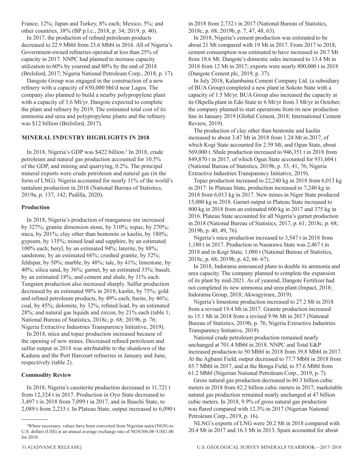France, 12%; Japan and Turkey, 8% each; Mexico, 5%; and other countries, 38% (BP p.l.c., 2018, p. 34; 2019, p. 40).

In 2017, the production of refined petroleum products decreased to 22.9 Mbbl from 23.6 Mbbl in 2016. All of Nigeria's Government-owned refineries operated at less than 25% of capacity in 2017. NNPC had planned to increase capacity utilization to 60% by yearend and 80% by the end of 2018 (Brelsford, 2017; Nigeria National Petroleum Corp., 2018, p. 17).

Dangote Group was engaged in the construction of a new refinery with a capacity of 650,000 bbl/d near Lagos. The company also planned to build a nearby polypropylene plant with a capacity of 3.6 Mt/yr. Dangote expected to complete the plant and refinery by 2019. The estimated total cost of its ammonia and urea and polypropylene plants and the refinery was \$12 billion (Brelsford, 2017).

#### **MINERAL INDUSTRY HIGHLIGHTS IN 2018**

In 2018, Nigeria's GDP was \$422 billion.<sup>2</sup> In 2018, crude petroleum and natural gas production accounted for 10.5% of the GDP, and mining and quarrying, 0.2%. The principal mineral exports were crude petroleum and natural gas (in the form of LNG). Nigeria accounted for nearly 11% of the world's tantalum production in 2018 (National Bureau of Statistics, 2019a, p. 137, 142; Padilla, 2020).

#### **Production**

In 2018, Nigeria's production of manganese ore increased by 327%; granite dimension stone, by 310%; topaz, by 270%; mica, by 201%; clay other than bentonite or kaolin, by 180%; gypsum, by 135%; mined lead and sapphire, by an estimated 100% each; beryl, by an estimated 94%; laterite, by 88%; sandstone, by an estimated 66%; crushed granite, by 52%; feldspar, by 50%; marble, by 48%; talc, by 41%; limestone, by 40%; silica sand, by 36%; garnet, by an estimated 33%; basalt, by an estimated 18%; and cement and shale, by 11% each. Tungsten production also increased sharply. Sulfur production decreased by an estimated 98% in 2018; kaolin, by 75%; gold and refined petroleum products, by 49% each; barite, by 46%; coal, by 45%; dolomite, by 32%; refined lead, by an estimated 28%; and natural gas liquids and zircon, by 21% each (table 1; National Bureau of Statistics, 2018c, p. 68; 2019b, p. 76; Nigeria Extractive Industries Transparency Initiative, 2019).

In 2018, mica and topaz production increased because of the opening of new mines. Decreased refined petroleum and sulfur output in 2018 was attributable to the shutdown of the Kaduna and the Port Harcourt refineries in January and June, respectively (table 2).

#### **Commodity Review**

In 2018, Nigeria's cassiterite production decreased to 11,721 t from 12,324 t in 2017. Production in Oyo State decreased to 3,497 t in 2018 from 7,099 t in 2017, and in Bauchi State, to 2,089 t from 2,233 t. In Plateau State, output increased to 6,090 t in 2018 from 2,732 t in 2017 (National Bureau of Statistics, 2018c, p. 68; 2019b, p. 7, 47, 48, 63).

In 2018, Nigeria's cement production was estimated to be about 21 Mt compared with 19 Mt in 2017. From 2017 to 2018, cement consumption was estimated to have increased to 20.7 Mt from 18.6 Mt. Dangote's domestic sales increased to 13.4 Mt in 2018 from 12 Mt in 2017; exports were nearly 800,000 t in 2018 (Dangote Cement plc, 2019, p. 37).

In July 2018, Kalambaina Cement Company Ltd. (a subsidiary of BUA Group) completed a new plant in Sokoto State with a capacity of 1.5 Mt/yr. BUA Group also increased the capacity at its Okpella plant in Edo State to 6 Mt/yr from 3 Mt/yr in October; the company planned to start operations from its new production line in January 2019 (Global Cement, 2018; International Cement Review, 2019).

The production of clay other than bentonite and kaolin increased to about 3.47 Mt in 2018 from 1.24 Mt in 2017, of which Kogi State accounted for 2.59 Mt, and Ogun State, about 569,000 t. Shale production increased to 946,351 t in 2018 from 849,870 t in 2017, of which Ogun State accounted for 931,604 t (National Bureau of Statistics, 2019b, p. 33, 41, 76; Nigeria Extractive Industries Transparency Initiative, 2019).

Topaz production increased to 22,240 kg in 2018 from 6,013 kg in 2017. In Plateau State, production increased to 7,240 kg in 2018 from 6,013 kg in 2017. New mines in Niger State produced 15,000 kg in 2018. Garnet output in Plateau State increased to 800 kg in 2018 from an estimated 600 kg in 2017 and 375 kg in 2016. Plateau State accounted for all Nigeria's garnet production in 2018 (National Bureau of Statistics, 2017, p. 61; 2018c, p. 68; 2019b, p. 40, 49, 76).

Nigeria's mica production increased to 3,547 t in 2018 from 1,180 t in 2017. Production in Nasarawa State was 2,467 t in 2018 and in Kogi State, 1,080 t (National Bureau of Statistics, 2018c, p. 68; 2019b, p. 62, 66–67).

In 2018, Indorama announced plans to double its ammonia and urea capacity. The company planned to complete the expansion of its plant by mid-2021. As of yearend, Dangote Fertilizer had not completed its new ammonia and urea plant (Impact, 2018; Indorama Group, 2018; Akwagyiram, 2019).

Nigeria's limestone production increased to 27.2 Mt in 2018 from a revised 19.4 Mt in 2017. Granite production increased to 15.1 Mt in 2018 from a revised 9.96 Mt in 2017 (National Bureau of Statistics, 2019b, p. 76; Nigeria Extractive Industries Transparency Initiative, 2019).

National crude petroleum production remained nearly unchanged at 701.4 Mbbl in 2018. NNPC and Total E&P increased production to 50 Mbbl in 2018 from 39.8 Mbbl in 2017. At the Agbami Field, output decreased to 77.7 Mbbl in 2018 from 85.7 Mbbl in 2017, and at the Bonga Field, to 57.6 Mbbl from 61.2 Mbbl (Nigerian National Petroleum Corp., 2019, p. 7).

Gross natural gas production decreased to 80.3 billion cubic meters in 2018 from 82.2 billion cubic meters in 2017; marketable natural gas production remained nearly unchanged at 47 billion cubic meters. In 2018, 9.9% of gross natural gas production was flared compared with 12.3% in 2017 (Nigerian National Petroleum Corp., 2019, p. 16).

NLNG's exports of LNG were 20.2 Mt in 2018 compared with 20.4 Mt in 2017 and 16.3 Mt in 2013. Spain accounted for about

<sup>2</sup> Where necessary, values have been converted from Nigerian naira (NGN) to U.S. dollars (US\$) at an annual average exchange rate of NGN306.08=US\$1.00 for 2018.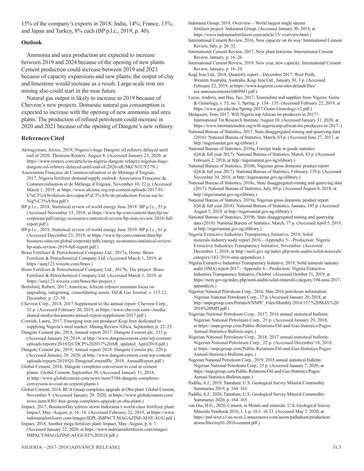15% of the company's exports in 2018; India, 14%; France, 13%; and Japan and Turkey, 8% each (BP p.l.c., 2019, p. 40).

#### **Outlook**

Ammonia and urea production are expected to increase between 2019 and 2024 because of the opening of new plants. Cement production could increase between 2019 and 2023 because of capacity expansions and new plants; the output of clay and limestone would increase as a result. Large-scale iron ore mining also could start in the near future.

Natural gas output is likely to increase in 2019 because of Chevron's new projects. Domestic natural gas consumption is expected to increase with the opening of new ammonia and urea plants. The production of refined petroleum could increase in 2020 and 2021 because of the opening of Dangote's new refinery.

#### **References Cited**

- Akwagyiram, Alexis, 2019, Nigeria's huge Dangote oil refinery delayed until end of 2020: Thomson Reuters, August 8. (Accessed January 23, 2020, at https://www.reuters.com/article/us-nigeria-dangote-refinery/nigerias-hugedangote-oil-refinery-delayed-until-end-of-2020-idUSKCN1UY27N.)
- Association Française de Commercialisation et de Mélange d'Engrais, 2017, Nigeria fertilizer demand/supply outlook: Association Française de Commercialisation et de Mélange d'Engrais, November 10, 22 p. (Accessed March 1, 2019, at https://www.afcome.org/wp-content/uploads/2017/01/ L%C3%A9volution-des-capacit%C3%A9s-de-production-Focus-sur-le-Nig%C3%A9ria.pdf.)
- BP p.l.c., 2018, Statistical review of world energy June 2018: BP p.l.c., 53 p. (Accessed November 15, 2018, at https://www.bp.com/content/dam/bp/en/ corporate/pdf/energy-economics/statistical-review/bp-stats-review-2018-fullreport.pdf.)
- BP p.l.c., 2019, Statistical review of world energy June 2019: BP p.l.c., 61 p. (Accessed December 23, 2019, at https://www.bp.com/content/dam/bp/ business-sites/en/global/corporate/pdfs/energy-economics/statistical-review/ bp-stats-review-2019-full-report.pdf.)
- Brass Fertilizer & Petrochemical Company Ltd., 2017a, Home: Brass Fertilizer & Petrochemical Company Ltd. (Accessed March 1, 2019, at https://sanj123.wixsite.com/brass.)

Brass Fertilizer & Petrochemical Company Ltd., 2017b, The project: Brass Fertilizer & Petrochemical Company Ltd. (Accessed March 1, 2019, at https://sanj123.wixsite.com/brass/the-project.)

Brelsford, Robert, 2017, Americas, African refiners maintain focus on upgrading, integrating, consolidating assets: Oil & Gas Journal, v. 115.12, December, p. 22–30.

Chevron Corp., 2018, 2017 Supplement to the annual report: Chevron Corp., 52 p. (Accessed February 20, 2019, at https://www.chevron.com/-/media/ shared-media/documents/annual-report-supplement-2017.pdf.)

Cornish, Laura, 2017, Emerging iron ore producer Kogi Iron dedicated to supplying Nigeria's steel market: Mining Review Africa, September, p. 22–25.

Dangote Cement plc, 2018, Annual report 2017: Dangote Cement plc, 233 p. (Accessed January 29, 2019, at http://www.dangotecement.com/wp-content/ uploads/reports/2018/Q1/DCP%202017%20AR\_updated\_April2018.pdf.)

Dangote Cement plc, 2019, Annual report 2018: Dangote Cement plc, 220 p. (Accessed January 28, 2020, at http://www.dangotecement.com/wp-content/ uploads/reports/2019/Q1/DangoteCementPlc\_2018\_AnnualReport.pdf.)

Global Cement, 2016, Dangote completes conversion to coal at cement plants: Global Cement, September 30. (Accessed January 31, 2018, at http://www.globalcement.com/news/item/5344-dangote-completesconversion-to-coal-at-cement-plants.)

Global Cement, 2018, BUA Group completes upgrade at Obu plant: Global Cement, November 9. (Accessed January 29, 2020, at https://www.globalcement.com/ news/item/8301-bua-group-completes-upgrade-at-obu-plant.)

Impact, 2017, BusinessDay editors storm Indorama's world-class fertilizer plant: Impact, May–August, p. 16–18. (Accessed February 22, 2019, at https://www. indoramafertilizers.com/images/IEPL-IMPACT-MAGAZINE-MAY-AUG.pdf.)

Impact, 2018, Another mega fertilizer plant: Impact, May–August, p. 6–7. (Accessed January 22, 2020, at https://www.indoramafertilizers.com/images/ IMPACT-MAGAZINE-AUGUST%202018.pdf.)

Indorama Group, 2018, Overview—World largest single stream fertilizer project: Indorama Group. (Accessed January 30, 2018, at https://www.indoramafertilizers.com/article/15/ overview.html.)

International Cement Review, 2016, New capacity on its way: International Cement Review, July, p. 20–32.

International Cement Review, 2017, New plant horizons: International Cement Review, January, p. 16–26.

International Cement Review, 2019, New year, new capacity: International Cement Review, January, p. 16–24.

Kogi Iron Ltd., 2018, Quarterly report—December 2017: West Perth, Western Australia, Australia, Kogi Iron Ltd., January 30, 3 p. (Accessed February 22, 2019, at https://www.kogiiron.com/sites/default/files/ asx-announcements/6869943.pdf.)

Lucas, Andrew, and Hsu, Tao, 2017, Tourmaline and sapphire from Nigeria: Gems & Gemology, v. 53, no. 1, Spring, p. 134– 135. (Accessed February 22, 2019, at https://www.gia.edu/doc/Spring-2017-Gems-Gemology-v2.pdf.)

Mulqueen, Tom, 2017, Will Nigeria top African tin producers in 2017?: International Tin Research Institute, August 10. (Accessed January 31, 2020, at https://www.internationaltin.org/will-nigeria-top-african-tin-producers-in-2017/.)

National Bureau of Statistics, 2017, State disaggregated mining and quarrying data (2016): National Bureau of Statistics, March, 63 p. (Accessed June 27, 2017, at http://nigerianstat.gov.ng/elibrary.)

National Bureau of Statistics, 2018a, Foreign trade in goods statistics (Q4 & full year 2017): National Bureau of Statistics, March, 83 p. (Accessed February 2, 2018, at http://nigerianstat.gov.ng/elibrary.)

National Bureau of Statistics, 2018b, Nigerian gross domestic product report (Q4 & full year 2017): National Bureau of Statistics, February, 139 p. (Accessed November 30, 2018, at http://nigerianstat.gov.ng/elibrary.)

National Bureau of Statistics, 2018c, State disaggregated mining and quarrying data (2017): National Bureau of Statistics, July, 69 p. (Accessed August 8, 2018, at http://nigerianstat.gov.ng/elibrary.)

National Bureau of Statistics, 2019a, Nigerian gross domestic product report (Q4 & full year 2018): National Bureau of Statistics, January, 145 p. (Accessed August 5, 2019, at http://nigerianstat.gov.ng/elibrary.)

National Bureau of Statistics, 2019b, State disaggregated mining and quarrying data (2018): National Bureau of Statistics, March, 77 p. (Accessed April 5, 2019, at http://nigerianstat.gov.ng/elibrary.)

Nigeria Extractive Industries Transparency Initiative, 2018, Solid minerals industry audit report 2016—Appendix 5—Production: Nigeria Extractive Industries Transparency Initiative, November. (Accessed December 1, 2018, at http://neiti.gov.ng/index.php/neiti-audits/solid-minerals/ category/183-2016-sma-appendices.)

Nigeria Extractive Industries Transparency Initiative, 2019, Solid minerals industry audit (SMA) report 2017—Appendix 6—Production: Nigeria Extractive Industries Transparency Initiative, October. (Accessed October 31, 2019, at https://neiti.gov.ng/index.php/neiti-audits/solid-minerals/category/194-sma-2017 appendices.)

Nigerian National Petroleum Corp., 2016, May 2016 petroleum information: Nigerian National Petroleum Corp., 37 p. (Accessed January 29, 2018, at http://nnpcgroup.com/Portals/0/NNPC\_Files/Monthly/2016/137.%20MAY%20 2016%20MPI.pdf.)

Nigerian National Petroleum Corp., 2017, 2016 annual statistical bulletin: Nigerian National Petroleum Corp., 25 p. (Accessed January 29, 2018, at https://nnpcgroup.com/Public-Relations/Oil-and-Gas-Statistics/Pages/ Annual-Statistics-Bulletin.aspx.)

Nigerian National Petroleum Corp., 2018, 2017 annual statistical bulletin: Nigerian National Petroleum Corp., 22 p. (Accessed December 18, 2018, at https://nnpcgroup.com/Public-Relations/Oil-and-Gas-Statistics/Pages/ Annual-Statistics-Bulletin.aspx.)

Nigerian National Petroleum Corp., 2019, 2018 annual statistical bulletin: Nigerian National Petroleum Corp., 25 p. (Accessed January 7, 2020, at https://nnpcgroup.com/Public-Relations/Oil-and-Gas-Statistics/Pages/ Annual-Statistics-Bulletin.aspx.)

Padilla, A.J., 2019, Tantalum: U.S. Geological Survey Mineral Commodity Summaries 2019, p. 164–165.

Padilla, A.J., 2020, Tantalum: U.S. Geological Survey Mineral Commodity Summaries 2020, p. 164–165.

van Oss, H.G., 2020, Cement, in Metals and minerals: U.S. Geological Survey Minerals Yearbook 2016, v. I, p. 16.1–16.33. (Accessed May 7, 2020, at https://prd-wret.s3-us-west-2.amazonaws.com/assets/palladium/production/ atoms/files/myb1-2016-cement.pdf.)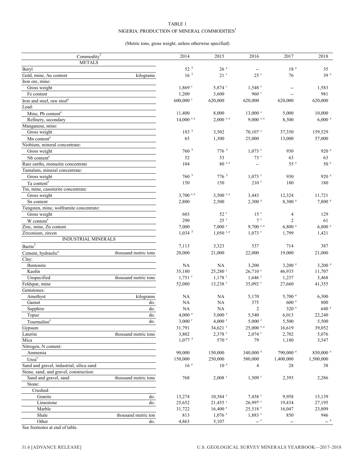#### TABLE 1 NIGERIA: PRODUCTION OF MINERAL COMMODITIES<sup>1</sup>

#### (Metric tons, gross weight, unless otherwise specified)

| <b>METALS</b><br>$52^{3}$<br>$18\,$ $^{\circ}$<br>26e<br>Beryl<br>35<br>$\overline{a}$<br>16 <sup>3</sup><br>$21$ <sup>r</sup><br>39 <sup>e</sup><br>$25$ <sup>r</sup><br>76<br>Gold, mine, Au content<br>kilograms<br>Iron ore, mine:<br>5,874 r<br>$1,869$ <sup>r</sup><br>$1,548$ <sup>r</sup><br>1,583<br>Gross weight<br>$\overline{\phantom{a}}$<br>960 $r$<br>981<br>1,200<br>3,600<br>Fe content<br>$\overline{\phantom{a}}$<br>620,000<br>620,000<br>$600,000$ <sup>r</sup><br>620,000<br>620,000<br>Iron and steel, raw steel <sup>e</sup><br>Lead:<br>11,400<br>8,000<br>$13,000$ <sup>r</sup><br>5,000<br>10,000<br>Mine, Pb content <sup>e</sup><br>$14,000$ r, e<br>$2,000$ r, e<br>$9,000$ r, e<br>8,300<br>6,000 °<br>Refinery, secondary<br>Manganese, mine:<br>183 <sup>3</sup><br>Gross weight<br>3,502<br>$70,107$ <sup>r</sup><br>37,350<br>159,529<br>65<br>1,300<br>13,000<br>25,000<br>57,000<br>Mn content <sup>e</sup><br>Niobium, mineral concentrate:<br>776 3<br>760 <sup>3</sup><br>$1,073$ <sup>r</sup><br>920 e<br>Gross weight<br>930<br>52<br>53<br>73 <sup>r</sup><br>Nb content <sup>e</sup><br>63<br>63<br>55 <sup>e</sup><br>$80$ <sup>r, e</sup><br>50 <sup>e</sup><br>104<br>Rare earths, monazite concentrate<br>$\qquad \qquad -$<br>Tantalum, mineral concentrate:<br>760 <sup>3</sup><br>776 <sup>3</sup><br>$1,073$ <sup>r</sup><br>920 e<br>Gross weight<br>930<br>150<br>150<br>210 <sup>r</sup><br>Ta content <sup>e</sup><br>180<br>180<br>Tin, mine, cassiterite concentrate:<br>3,700 $r, e$<br>12,324<br>11,721<br>3.500 r, e<br>3,443<br>Gross weight<br>2,500<br>2,300 °<br>8,300 °<br>7,800 °<br>Sn content<br>2,800<br>Tungsten, mine, wolframite concentrate:<br>Gross weight<br>603<br>52 <sup>r</sup><br>15 <sup>r</sup><br>$\overline{4}$<br>129<br>7r<br>290<br>$25$ <sup>r</sup><br>$\overline{2}$<br>61<br>W content <sup>e</sup><br>7,000<br>$7,000$ <sup>r</sup><br>$9,700$ r, e<br>6,800 °<br>6,800 °<br>Zinc, mine, Zn content<br>$1,034$ <sup>3</sup><br>$1,050$ <sup>r, e</sup><br>$1,073$ <sup>r</sup><br>Zirconium, zircon<br>1,799<br>1,421<br><b>INDUSTRIAL MINERALS</b><br>Barite <sup>3</sup><br>387<br>7,113<br>3,323<br>537<br>714<br>21,000<br>22,000<br>19,000<br>21,000<br>20,000<br>Cement, hydraulic <sup>e</sup><br>thousand metric tons<br>Clay:<br>Bentonite<br>$3,200$ e<br>NA<br><b>NA</b><br>3,200<br>$3,200$ $^{\circ}$<br>Kaolin<br>25,280 r<br>$26,710$ <sup>r</sup><br>11,707<br>35,180<br>46,935<br>$1,751$ <sup>r</sup><br>$1,178$ <sup>r</sup><br>$1,646$ <sup>r</sup><br>1,237<br>3,468<br>Unspecified<br>thousand metric tons<br>$13,238$ <sup>r</sup><br>35,092 <sup>r</sup><br>Feldspar, mine<br>52,080<br>27,660<br>41,355<br>Gemstones:<br>NA<br><b>NA</b><br>5,170<br>5,700 °<br>6,300<br>Amethyst<br>kilograms<br><b>NA</b><br>375<br>600 e<br>NA<br>800<br>Garnet<br>do.<br>640 e<br>Sapphire<br>do.<br>NA<br><b>NA</b><br>2<br>320 <sup>e</sup><br>do.<br>4,000 °<br>5,000 °<br>Topaz<br>5,540<br>6,013<br>22,240<br>Tourmaline <sup>e</sup><br>$3,000$ <sup>r</sup><br>$4,000$ <sup>r</sup><br>$5,000$ <sup>r</sup><br>5,500<br>5,500<br>do.<br>34,621 r<br>16,619<br>39,052<br>Gypsum<br>31,791<br>$25,000$ r, e<br>Laterite<br>thousand metric tons<br>3,802<br>$2,378$ <sup>r</sup><br>$2,074$ <sup>r</sup><br>2,702<br>5,076<br>Mica<br>$1,077$ <sup>3</sup><br>570 e<br>79<br>1,180<br>3,547<br>Nitrogen, N content:<br>340,000 e<br>790,000 °<br>850,000 °<br>Ammonia<br>90,000<br>150,000<br>Urea <sup>e</sup><br>150,000<br>250,000<br>1,500,000<br>580,000<br>1,400,000<br>16 <sup>e</sup><br>Sand and gravel, industrial, silica sand<br>10 <sup>e</sup><br>4<br>28<br>38<br>Stone, sand, and gravel, construction:<br>768<br>$2,008$ <sup>r</sup><br>$1,509$ <sup>r</sup><br>2,286<br>Sand and gravel, sand<br>thousand metric tons<br>2,393<br>Stone:<br>Crushed:<br>Granite<br>do.<br>9,958<br>13,274<br>$10,384$ <sup>r</sup><br>$7,458$ <sup>r</sup><br>15,139<br>26,997 r<br>Limestone<br>do.<br>25,652<br>$21,455$ <sup>r</sup><br>19,434<br>27,195<br>23,809<br>Marble<br>31,722<br>$16,400$ <sup>r</sup><br>$25,518$ <sup>r</sup><br>16,047<br>Shale<br>thousand metric ton<br>813<br>$1,883$ <sup>r</sup><br>$1,076$ <sup>r</sup><br>850<br>946<br>Other<br>do.<br>4,863<br>$ ^{r}$<br>$-$ e<br>5,107<br>$\overline{\phantom{a}}$ | Commodity <sup>2</sup> | 2014 | 2015 | 2016 | 2017 | 2018 |
|-----------------------------------------------------------------------------------------------------------------------------------------------------------------------------------------------------------------------------------------------------------------------------------------------------------------------------------------------------------------------------------------------------------------------------------------------------------------------------------------------------------------------------------------------------------------------------------------------------------------------------------------------------------------------------------------------------------------------------------------------------------------------------------------------------------------------------------------------------------------------------------------------------------------------------------------------------------------------------------------------------------------------------------------------------------------------------------------------------------------------------------------------------------------------------------------------------------------------------------------------------------------------------------------------------------------------------------------------------------------------------------------------------------------------------------------------------------------------------------------------------------------------------------------------------------------------------------------------------------------------------------------------------------------------------------------------------------------------------------------------------------------------------------------------------------------------------------------------------------------------------------------------------------------------------------------------------------------------------------------------------------------------------------------------------------------------------------------------------------------------------------------------------------------------------------------------------------------------------------------------------------------------------------------------------------------------------------------------------------------------------------------------------------------------------------------------------------------------------------------------------------------------------------------------------------------------------------------------------------------------------------------------------------------------------------------------------------------------------------------------------------------------------------------------------------------------------------------------------------------------------------------------------------------------------------------------------------------------------------------------------------------------------------------------------------------------------------------------------------------------------------------------------------------------------------------------------------------------------------------------------------------------------------------------------------------------------------------------------------------------------------------------------------------------------------------------------------------------------------------------------------------------------------------------------------------------------------------------------------------------------------------------------------------------------------------------------------------------------------------------------------------------------------------------------------------------------------------------------------------------------------------------------------------------------------------------------------------------------------------------------------------------------------------------------------------------------------------------------------------------------------------------------------------------------------------------------------------------------------------------------------------------------------------------------------------------------------------------------------------|------------------------|------|------|------|------|------|
|                                                                                                                                                                                                                                                                                                                                                                                                                                                                                                                                                                                                                                                                                                                                                                                                                                                                                                                                                                                                                                                                                                                                                                                                                                                                                                                                                                                                                                                                                                                                                                                                                                                                                                                                                                                                                                                                                                                                                                                                                                                                                                                                                                                                                                                                                                                                                                                                                                                                                                                                                                                                                                                                                                                                                                                                                                                                                                                                                                                                                                                                                                                                                                                                                                                                                                                                                                                                                                                                                                                                                                                                                                                                                                                                                                                                                                                                                                                                                                                                                                                                                                                                                                                                                                                                                                                                                                 |                        |      |      |      |      |      |
|                                                                                                                                                                                                                                                                                                                                                                                                                                                                                                                                                                                                                                                                                                                                                                                                                                                                                                                                                                                                                                                                                                                                                                                                                                                                                                                                                                                                                                                                                                                                                                                                                                                                                                                                                                                                                                                                                                                                                                                                                                                                                                                                                                                                                                                                                                                                                                                                                                                                                                                                                                                                                                                                                                                                                                                                                                                                                                                                                                                                                                                                                                                                                                                                                                                                                                                                                                                                                                                                                                                                                                                                                                                                                                                                                                                                                                                                                                                                                                                                                                                                                                                                                                                                                                                                                                                                                                 |                        |      |      |      |      |      |
|                                                                                                                                                                                                                                                                                                                                                                                                                                                                                                                                                                                                                                                                                                                                                                                                                                                                                                                                                                                                                                                                                                                                                                                                                                                                                                                                                                                                                                                                                                                                                                                                                                                                                                                                                                                                                                                                                                                                                                                                                                                                                                                                                                                                                                                                                                                                                                                                                                                                                                                                                                                                                                                                                                                                                                                                                                                                                                                                                                                                                                                                                                                                                                                                                                                                                                                                                                                                                                                                                                                                                                                                                                                                                                                                                                                                                                                                                                                                                                                                                                                                                                                                                                                                                                                                                                                                                                 |                        |      |      |      |      |      |
|                                                                                                                                                                                                                                                                                                                                                                                                                                                                                                                                                                                                                                                                                                                                                                                                                                                                                                                                                                                                                                                                                                                                                                                                                                                                                                                                                                                                                                                                                                                                                                                                                                                                                                                                                                                                                                                                                                                                                                                                                                                                                                                                                                                                                                                                                                                                                                                                                                                                                                                                                                                                                                                                                                                                                                                                                                                                                                                                                                                                                                                                                                                                                                                                                                                                                                                                                                                                                                                                                                                                                                                                                                                                                                                                                                                                                                                                                                                                                                                                                                                                                                                                                                                                                                                                                                                                                                 |                        |      |      |      |      |      |
|                                                                                                                                                                                                                                                                                                                                                                                                                                                                                                                                                                                                                                                                                                                                                                                                                                                                                                                                                                                                                                                                                                                                                                                                                                                                                                                                                                                                                                                                                                                                                                                                                                                                                                                                                                                                                                                                                                                                                                                                                                                                                                                                                                                                                                                                                                                                                                                                                                                                                                                                                                                                                                                                                                                                                                                                                                                                                                                                                                                                                                                                                                                                                                                                                                                                                                                                                                                                                                                                                                                                                                                                                                                                                                                                                                                                                                                                                                                                                                                                                                                                                                                                                                                                                                                                                                                                                                 |                        |      |      |      |      |      |
|                                                                                                                                                                                                                                                                                                                                                                                                                                                                                                                                                                                                                                                                                                                                                                                                                                                                                                                                                                                                                                                                                                                                                                                                                                                                                                                                                                                                                                                                                                                                                                                                                                                                                                                                                                                                                                                                                                                                                                                                                                                                                                                                                                                                                                                                                                                                                                                                                                                                                                                                                                                                                                                                                                                                                                                                                                                                                                                                                                                                                                                                                                                                                                                                                                                                                                                                                                                                                                                                                                                                                                                                                                                                                                                                                                                                                                                                                                                                                                                                                                                                                                                                                                                                                                                                                                                                                                 |                        |      |      |      |      |      |
|                                                                                                                                                                                                                                                                                                                                                                                                                                                                                                                                                                                                                                                                                                                                                                                                                                                                                                                                                                                                                                                                                                                                                                                                                                                                                                                                                                                                                                                                                                                                                                                                                                                                                                                                                                                                                                                                                                                                                                                                                                                                                                                                                                                                                                                                                                                                                                                                                                                                                                                                                                                                                                                                                                                                                                                                                                                                                                                                                                                                                                                                                                                                                                                                                                                                                                                                                                                                                                                                                                                                                                                                                                                                                                                                                                                                                                                                                                                                                                                                                                                                                                                                                                                                                                                                                                                                                                 |                        |      |      |      |      |      |
|                                                                                                                                                                                                                                                                                                                                                                                                                                                                                                                                                                                                                                                                                                                                                                                                                                                                                                                                                                                                                                                                                                                                                                                                                                                                                                                                                                                                                                                                                                                                                                                                                                                                                                                                                                                                                                                                                                                                                                                                                                                                                                                                                                                                                                                                                                                                                                                                                                                                                                                                                                                                                                                                                                                                                                                                                                                                                                                                                                                                                                                                                                                                                                                                                                                                                                                                                                                                                                                                                                                                                                                                                                                                                                                                                                                                                                                                                                                                                                                                                                                                                                                                                                                                                                                                                                                                                                 |                        |      |      |      |      |      |
|                                                                                                                                                                                                                                                                                                                                                                                                                                                                                                                                                                                                                                                                                                                                                                                                                                                                                                                                                                                                                                                                                                                                                                                                                                                                                                                                                                                                                                                                                                                                                                                                                                                                                                                                                                                                                                                                                                                                                                                                                                                                                                                                                                                                                                                                                                                                                                                                                                                                                                                                                                                                                                                                                                                                                                                                                                                                                                                                                                                                                                                                                                                                                                                                                                                                                                                                                                                                                                                                                                                                                                                                                                                                                                                                                                                                                                                                                                                                                                                                                                                                                                                                                                                                                                                                                                                                                                 |                        |      |      |      |      |      |
|                                                                                                                                                                                                                                                                                                                                                                                                                                                                                                                                                                                                                                                                                                                                                                                                                                                                                                                                                                                                                                                                                                                                                                                                                                                                                                                                                                                                                                                                                                                                                                                                                                                                                                                                                                                                                                                                                                                                                                                                                                                                                                                                                                                                                                                                                                                                                                                                                                                                                                                                                                                                                                                                                                                                                                                                                                                                                                                                                                                                                                                                                                                                                                                                                                                                                                                                                                                                                                                                                                                                                                                                                                                                                                                                                                                                                                                                                                                                                                                                                                                                                                                                                                                                                                                                                                                                                                 |                        |      |      |      |      |      |
|                                                                                                                                                                                                                                                                                                                                                                                                                                                                                                                                                                                                                                                                                                                                                                                                                                                                                                                                                                                                                                                                                                                                                                                                                                                                                                                                                                                                                                                                                                                                                                                                                                                                                                                                                                                                                                                                                                                                                                                                                                                                                                                                                                                                                                                                                                                                                                                                                                                                                                                                                                                                                                                                                                                                                                                                                                                                                                                                                                                                                                                                                                                                                                                                                                                                                                                                                                                                                                                                                                                                                                                                                                                                                                                                                                                                                                                                                                                                                                                                                                                                                                                                                                                                                                                                                                                                                                 |                        |      |      |      |      |      |
|                                                                                                                                                                                                                                                                                                                                                                                                                                                                                                                                                                                                                                                                                                                                                                                                                                                                                                                                                                                                                                                                                                                                                                                                                                                                                                                                                                                                                                                                                                                                                                                                                                                                                                                                                                                                                                                                                                                                                                                                                                                                                                                                                                                                                                                                                                                                                                                                                                                                                                                                                                                                                                                                                                                                                                                                                                                                                                                                                                                                                                                                                                                                                                                                                                                                                                                                                                                                                                                                                                                                                                                                                                                                                                                                                                                                                                                                                                                                                                                                                                                                                                                                                                                                                                                                                                                                                                 |                        |      |      |      |      |      |
|                                                                                                                                                                                                                                                                                                                                                                                                                                                                                                                                                                                                                                                                                                                                                                                                                                                                                                                                                                                                                                                                                                                                                                                                                                                                                                                                                                                                                                                                                                                                                                                                                                                                                                                                                                                                                                                                                                                                                                                                                                                                                                                                                                                                                                                                                                                                                                                                                                                                                                                                                                                                                                                                                                                                                                                                                                                                                                                                                                                                                                                                                                                                                                                                                                                                                                                                                                                                                                                                                                                                                                                                                                                                                                                                                                                                                                                                                                                                                                                                                                                                                                                                                                                                                                                                                                                                                                 |                        |      |      |      |      |      |
|                                                                                                                                                                                                                                                                                                                                                                                                                                                                                                                                                                                                                                                                                                                                                                                                                                                                                                                                                                                                                                                                                                                                                                                                                                                                                                                                                                                                                                                                                                                                                                                                                                                                                                                                                                                                                                                                                                                                                                                                                                                                                                                                                                                                                                                                                                                                                                                                                                                                                                                                                                                                                                                                                                                                                                                                                                                                                                                                                                                                                                                                                                                                                                                                                                                                                                                                                                                                                                                                                                                                                                                                                                                                                                                                                                                                                                                                                                                                                                                                                                                                                                                                                                                                                                                                                                                                                                 |                        |      |      |      |      |      |
|                                                                                                                                                                                                                                                                                                                                                                                                                                                                                                                                                                                                                                                                                                                                                                                                                                                                                                                                                                                                                                                                                                                                                                                                                                                                                                                                                                                                                                                                                                                                                                                                                                                                                                                                                                                                                                                                                                                                                                                                                                                                                                                                                                                                                                                                                                                                                                                                                                                                                                                                                                                                                                                                                                                                                                                                                                                                                                                                                                                                                                                                                                                                                                                                                                                                                                                                                                                                                                                                                                                                                                                                                                                                                                                                                                                                                                                                                                                                                                                                                                                                                                                                                                                                                                                                                                                                                                 |                        |      |      |      |      |      |
|                                                                                                                                                                                                                                                                                                                                                                                                                                                                                                                                                                                                                                                                                                                                                                                                                                                                                                                                                                                                                                                                                                                                                                                                                                                                                                                                                                                                                                                                                                                                                                                                                                                                                                                                                                                                                                                                                                                                                                                                                                                                                                                                                                                                                                                                                                                                                                                                                                                                                                                                                                                                                                                                                                                                                                                                                                                                                                                                                                                                                                                                                                                                                                                                                                                                                                                                                                                                                                                                                                                                                                                                                                                                                                                                                                                                                                                                                                                                                                                                                                                                                                                                                                                                                                                                                                                                                                 |                        |      |      |      |      |      |
|                                                                                                                                                                                                                                                                                                                                                                                                                                                                                                                                                                                                                                                                                                                                                                                                                                                                                                                                                                                                                                                                                                                                                                                                                                                                                                                                                                                                                                                                                                                                                                                                                                                                                                                                                                                                                                                                                                                                                                                                                                                                                                                                                                                                                                                                                                                                                                                                                                                                                                                                                                                                                                                                                                                                                                                                                                                                                                                                                                                                                                                                                                                                                                                                                                                                                                                                                                                                                                                                                                                                                                                                                                                                                                                                                                                                                                                                                                                                                                                                                                                                                                                                                                                                                                                                                                                                                                 |                        |      |      |      |      |      |
|                                                                                                                                                                                                                                                                                                                                                                                                                                                                                                                                                                                                                                                                                                                                                                                                                                                                                                                                                                                                                                                                                                                                                                                                                                                                                                                                                                                                                                                                                                                                                                                                                                                                                                                                                                                                                                                                                                                                                                                                                                                                                                                                                                                                                                                                                                                                                                                                                                                                                                                                                                                                                                                                                                                                                                                                                                                                                                                                                                                                                                                                                                                                                                                                                                                                                                                                                                                                                                                                                                                                                                                                                                                                                                                                                                                                                                                                                                                                                                                                                                                                                                                                                                                                                                                                                                                                                                 |                        |      |      |      |      |      |
|                                                                                                                                                                                                                                                                                                                                                                                                                                                                                                                                                                                                                                                                                                                                                                                                                                                                                                                                                                                                                                                                                                                                                                                                                                                                                                                                                                                                                                                                                                                                                                                                                                                                                                                                                                                                                                                                                                                                                                                                                                                                                                                                                                                                                                                                                                                                                                                                                                                                                                                                                                                                                                                                                                                                                                                                                                                                                                                                                                                                                                                                                                                                                                                                                                                                                                                                                                                                                                                                                                                                                                                                                                                                                                                                                                                                                                                                                                                                                                                                                                                                                                                                                                                                                                                                                                                                                                 |                        |      |      |      |      |      |
|                                                                                                                                                                                                                                                                                                                                                                                                                                                                                                                                                                                                                                                                                                                                                                                                                                                                                                                                                                                                                                                                                                                                                                                                                                                                                                                                                                                                                                                                                                                                                                                                                                                                                                                                                                                                                                                                                                                                                                                                                                                                                                                                                                                                                                                                                                                                                                                                                                                                                                                                                                                                                                                                                                                                                                                                                                                                                                                                                                                                                                                                                                                                                                                                                                                                                                                                                                                                                                                                                                                                                                                                                                                                                                                                                                                                                                                                                                                                                                                                                                                                                                                                                                                                                                                                                                                                                                 |                        |      |      |      |      |      |
|                                                                                                                                                                                                                                                                                                                                                                                                                                                                                                                                                                                                                                                                                                                                                                                                                                                                                                                                                                                                                                                                                                                                                                                                                                                                                                                                                                                                                                                                                                                                                                                                                                                                                                                                                                                                                                                                                                                                                                                                                                                                                                                                                                                                                                                                                                                                                                                                                                                                                                                                                                                                                                                                                                                                                                                                                                                                                                                                                                                                                                                                                                                                                                                                                                                                                                                                                                                                                                                                                                                                                                                                                                                                                                                                                                                                                                                                                                                                                                                                                                                                                                                                                                                                                                                                                                                                                                 |                        |      |      |      |      |      |
|                                                                                                                                                                                                                                                                                                                                                                                                                                                                                                                                                                                                                                                                                                                                                                                                                                                                                                                                                                                                                                                                                                                                                                                                                                                                                                                                                                                                                                                                                                                                                                                                                                                                                                                                                                                                                                                                                                                                                                                                                                                                                                                                                                                                                                                                                                                                                                                                                                                                                                                                                                                                                                                                                                                                                                                                                                                                                                                                                                                                                                                                                                                                                                                                                                                                                                                                                                                                                                                                                                                                                                                                                                                                                                                                                                                                                                                                                                                                                                                                                                                                                                                                                                                                                                                                                                                                                                 |                        |      |      |      |      |      |
|                                                                                                                                                                                                                                                                                                                                                                                                                                                                                                                                                                                                                                                                                                                                                                                                                                                                                                                                                                                                                                                                                                                                                                                                                                                                                                                                                                                                                                                                                                                                                                                                                                                                                                                                                                                                                                                                                                                                                                                                                                                                                                                                                                                                                                                                                                                                                                                                                                                                                                                                                                                                                                                                                                                                                                                                                                                                                                                                                                                                                                                                                                                                                                                                                                                                                                                                                                                                                                                                                                                                                                                                                                                                                                                                                                                                                                                                                                                                                                                                                                                                                                                                                                                                                                                                                                                                                                 |                        |      |      |      |      |      |
|                                                                                                                                                                                                                                                                                                                                                                                                                                                                                                                                                                                                                                                                                                                                                                                                                                                                                                                                                                                                                                                                                                                                                                                                                                                                                                                                                                                                                                                                                                                                                                                                                                                                                                                                                                                                                                                                                                                                                                                                                                                                                                                                                                                                                                                                                                                                                                                                                                                                                                                                                                                                                                                                                                                                                                                                                                                                                                                                                                                                                                                                                                                                                                                                                                                                                                                                                                                                                                                                                                                                                                                                                                                                                                                                                                                                                                                                                                                                                                                                                                                                                                                                                                                                                                                                                                                                                                 |                        |      |      |      |      |      |
|                                                                                                                                                                                                                                                                                                                                                                                                                                                                                                                                                                                                                                                                                                                                                                                                                                                                                                                                                                                                                                                                                                                                                                                                                                                                                                                                                                                                                                                                                                                                                                                                                                                                                                                                                                                                                                                                                                                                                                                                                                                                                                                                                                                                                                                                                                                                                                                                                                                                                                                                                                                                                                                                                                                                                                                                                                                                                                                                                                                                                                                                                                                                                                                                                                                                                                                                                                                                                                                                                                                                                                                                                                                                                                                                                                                                                                                                                                                                                                                                                                                                                                                                                                                                                                                                                                                                                                 |                        |      |      |      |      |      |
|                                                                                                                                                                                                                                                                                                                                                                                                                                                                                                                                                                                                                                                                                                                                                                                                                                                                                                                                                                                                                                                                                                                                                                                                                                                                                                                                                                                                                                                                                                                                                                                                                                                                                                                                                                                                                                                                                                                                                                                                                                                                                                                                                                                                                                                                                                                                                                                                                                                                                                                                                                                                                                                                                                                                                                                                                                                                                                                                                                                                                                                                                                                                                                                                                                                                                                                                                                                                                                                                                                                                                                                                                                                                                                                                                                                                                                                                                                                                                                                                                                                                                                                                                                                                                                                                                                                                                                 |                        |      |      |      |      |      |
|                                                                                                                                                                                                                                                                                                                                                                                                                                                                                                                                                                                                                                                                                                                                                                                                                                                                                                                                                                                                                                                                                                                                                                                                                                                                                                                                                                                                                                                                                                                                                                                                                                                                                                                                                                                                                                                                                                                                                                                                                                                                                                                                                                                                                                                                                                                                                                                                                                                                                                                                                                                                                                                                                                                                                                                                                                                                                                                                                                                                                                                                                                                                                                                                                                                                                                                                                                                                                                                                                                                                                                                                                                                                                                                                                                                                                                                                                                                                                                                                                                                                                                                                                                                                                                                                                                                                                                 |                        |      |      |      |      |      |
|                                                                                                                                                                                                                                                                                                                                                                                                                                                                                                                                                                                                                                                                                                                                                                                                                                                                                                                                                                                                                                                                                                                                                                                                                                                                                                                                                                                                                                                                                                                                                                                                                                                                                                                                                                                                                                                                                                                                                                                                                                                                                                                                                                                                                                                                                                                                                                                                                                                                                                                                                                                                                                                                                                                                                                                                                                                                                                                                                                                                                                                                                                                                                                                                                                                                                                                                                                                                                                                                                                                                                                                                                                                                                                                                                                                                                                                                                                                                                                                                                                                                                                                                                                                                                                                                                                                                                                 |                        |      |      |      |      |      |
|                                                                                                                                                                                                                                                                                                                                                                                                                                                                                                                                                                                                                                                                                                                                                                                                                                                                                                                                                                                                                                                                                                                                                                                                                                                                                                                                                                                                                                                                                                                                                                                                                                                                                                                                                                                                                                                                                                                                                                                                                                                                                                                                                                                                                                                                                                                                                                                                                                                                                                                                                                                                                                                                                                                                                                                                                                                                                                                                                                                                                                                                                                                                                                                                                                                                                                                                                                                                                                                                                                                                                                                                                                                                                                                                                                                                                                                                                                                                                                                                                                                                                                                                                                                                                                                                                                                                                                 |                        |      |      |      |      |      |
|                                                                                                                                                                                                                                                                                                                                                                                                                                                                                                                                                                                                                                                                                                                                                                                                                                                                                                                                                                                                                                                                                                                                                                                                                                                                                                                                                                                                                                                                                                                                                                                                                                                                                                                                                                                                                                                                                                                                                                                                                                                                                                                                                                                                                                                                                                                                                                                                                                                                                                                                                                                                                                                                                                                                                                                                                                                                                                                                                                                                                                                                                                                                                                                                                                                                                                                                                                                                                                                                                                                                                                                                                                                                                                                                                                                                                                                                                                                                                                                                                                                                                                                                                                                                                                                                                                                                                                 |                        |      |      |      |      |      |
|                                                                                                                                                                                                                                                                                                                                                                                                                                                                                                                                                                                                                                                                                                                                                                                                                                                                                                                                                                                                                                                                                                                                                                                                                                                                                                                                                                                                                                                                                                                                                                                                                                                                                                                                                                                                                                                                                                                                                                                                                                                                                                                                                                                                                                                                                                                                                                                                                                                                                                                                                                                                                                                                                                                                                                                                                                                                                                                                                                                                                                                                                                                                                                                                                                                                                                                                                                                                                                                                                                                                                                                                                                                                                                                                                                                                                                                                                                                                                                                                                                                                                                                                                                                                                                                                                                                                                                 |                        |      |      |      |      |      |
|                                                                                                                                                                                                                                                                                                                                                                                                                                                                                                                                                                                                                                                                                                                                                                                                                                                                                                                                                                                                                                                                                                                                                                                                                                                                                                                                                                                                                                                                                                                                                                                                                                                                                                                                                                                                                                                                                                                                                                                                                                                                                                                                                                                                                                                                                                                                                                                                                                                                                                                                                                                                                                                                                                                                                                                                                                                                                                                                                                                                                                                                                                                                                                                                                                                                                                                                                                                                                                                                                                                                                                                                                                                                                                                                                                                                                                                                                                                                                                                                                                                                                                                                                                                                                                                                                                                                                                 |                        |      |      |      |      |      |
|                                                                                                                                                                                                                                                                                                                                                                                                                                                                                                                                                                                                                                                                                                                                                                                                                                                                                                                                                                                                                                                                                                                                                                                                                                                                                                                                                                                                                                                                                                                                                                                                                                                                                                                                                                                                                                                                                                                                                                                                                                                                                                                                                                                                                                                                                                                                                                                                                                                                                                                                                                                                                                                                                                                                                                                                                                                                                                                                                                                                                                                                                                                                                                                                                                                                                                                                                                                                                                                                                                                                                                                                                                                                                                                                                                                                                                                                                                                                                                                                                                                                                                                                                                                                                                                                                                                                                                 |                        |      |      |      |      |      |
|                                                                                                                                                                                                                                                                                                                                                                                                                                                                                                                                                                                                                                                                                                                                                                                                                                                                                                                                                                                                                                                                                                                                                                                                                                                                                                                                                                                                                                                                                                                                                                                                                                                                                                                                                                                                                                                                                                                                                                                                                                                                                                                                                                                                                                                                                                                                                                                                                                                                                                                                                                                                                                                                                                                                                                                                                                                                                                                                                                                                                                                                                                                                                                                                                                                                                                                                                                                                                                                                                                                                                                                                                                                                                                                                                                                                                                                                                                                                                                                                                                                                                                                                                                                                                                                                                                                                                                 |                        |      |      |      |      |      |
|                                                                                                                                                                                                                                                                                                                                                                                                                                                                                                                                                                                                                                                                                                                                                                                                                                                                                                                                                                                                                                                                                                                                                                                                                                                                                                                                                                                                                                                                                                                                                                                                                                                                                                                                                                                                                                                                                                                                                                                                                                                                                                                                                                                                                                                                                                                                                                                                                                                                                                                                                                                                                                                                                                                                                                                                                                                                                                                                                                                                                                                                                                                                                                                                                                                                                                                                                                                                                                                                                                                                                                                                                                                                                                                                                                                                                                                                                                                                                                                                                                                                                                                                                                                                                                                                                                                                                                 |                        |      |      |      |      |      |
|                                                                                                                                                                                                                                                                                                                                                                                                                                                                                                                                                                                                                                                                                                                                                                                                                                                                                                                                                                                                                                                                                                                                                                                                                                                                                                                                                                                                                                                                                                                                                                                                                                                                                                                                                                                                                                                                                                                                                                                                                                                                                                                                                                                                                                                                                                                                                                                                                                                                                                                                                                                                                                                                                                                                                                                                                                                                                                                                                                                                                                                                                                                                                                                                                                                                                                                                                                                                                                                                                                                                                                                                                                                                                                                                                                                                                                                                                                                                                                                                                                                                                                                                                                                                                                                                                                                                                                 |                        |      |      |      |      |      |
|                                                                                                                                                                                                                                                                                                                                                                                                                                                                                                                                                                                                                                                                                                                                                                                                                                                                                                                                                                                                                                                                                                                                                                                                                                                                                                                                                                                                                                                                                                                                                                                                                                                                                                                                                                                                                                                                                                                                                                                                                                                                                                                                                                                                                                                                                                                                                                                                                                                                                                                                                                                                                                                                                                                                                                                                                                                                                                                                                                                                                                                                                                                                                                                                                                                                                                                                                                                                                                                                                                                                                                                                                                                                                                                                                                                                                                                                                                                                                                                                                                                                                                                                                                                                                                                                                                                                                                 |                        |      |      |      |      |      |
|                                                                                                                                                                                                                                                                                                                                                                                                                                                                                                                                                                                                                                                                                                                                                                                                                                                                                                                                                                                                                                                                                                                                                                                                                                                                                                                                                                                                                                                                                                                                                                                                                                                                                                                                                                                                                                                                                                                                                                                                                                                                                                                                                                                                                                                                                                                                                                                                                                                                                                                                                                                                                                                                                                                                                                                                                                                                                                                                                                                                                                                                                                                                                                                                                                                                                                                                                                                                                                                                                                                                                                                                                                                                                                                                                                                                                                                                                                                                                                                                                                                                                                                                                                                                                                                                                                                                                                 |                        |      |      |      |      |      |
|                                                                                                                                                                                                                                                                                                                                                                                                                                                                                                                                                                                                                                                                                                                                                                                                                                                                                                                                                                                                                                                                                                                                                                                                                                                                                                                                                                                                                                                                                                                                                                                                                                                                                                                                                                                                                                                                                                                                                                                                                                                                                                                                                                                                                                                                                                                                                                                                                                                                                                                                                                                                                                                                                                                                                                                                                                                                                                                                                                                                                                                                                                                                                                                                                                                                                                                                                                                                                                                                                                                                                                                                                                                                                                                                                                                                                                                                                                                                                                                                                                                                                                                                                                                                                                                                                                                                                                 |                        |      |      |      |      |      |
|                                                                                                                                                                                                                                                                                                                                                                                                                                                                                                                                                                                                                                                                                                                                                                                                                                                                                                                                                                                                                                                                                                                                                                                                                                                                                                                                                                                                                                                                                                                                                                                                                                                                                                                                                                                                                                                                                                                                                                                                                                                                                                                                                                                                                                                                                                                                                                                                                                                                                                                                                                                                                                                                                                                                                                                                                                                                                                                                                                                                                                                                                                                                                                                                                                                                                                                                                                                                                                                                                                                                                                                                                                                                                                                                                                                                                                                                                                                                                                                                                                                                                                                                                                                                                                                                                                                                                                 |                        |      |      |      |      |      |
|                                                                                                                                                                                                                                                                                                                                                                                                                                                                                                                                                                                                                                                                                                                                                                                                                                                                                                                                                                                                                                                                                                                                                                                                                                                                                                                                                                                                                                                                                                                                                                                                                                                                                                                                                                                                                                                                                                                                                                                                                                                                                                                                                                                                                                                                                                                                                                                                                                                                                                                                                                                                                                                                                                                                                                                                                                                                                                                                                                                                                                                                                                                                                                                                                                                                                                                                                                                                                                                                                                                                                                                                                                                                                                                                                                                                                                                                                                                                                                                                                                                                                                                                                                                                                                                                                                                                                                 |                        |      |      |      |      |      |
|                                                                                                                                                                                                                                                                                                                                                                                                                                                                                                                                                                                                                                                                                                                                                                                                                                                                                                                                                                                                                                                                                                                                                                                                                                                                                                                                                                                                                                                                                                                                                                                                                                                                                                                                                                                                                                                                                                                                                                                                                                                                                                                                                                                                                                                                                                                                                                                                                                                                                                                                                                                                                                                                                                                                                                                                                                                                                                                                                                                                                                                                                                                                                                                                                                                                                                                                                                                                                                                                                                                                                                                                                                                                                                                                                                                                                                                                                                                                                                                                                                                                                                                                                                                                                                                                                                                                                                 |                        |      |      |      |      |      |
|                                                                                                                                                                                                                                                                                                                                                                                                                                                                                                                                                                                                                                                                                                                                                                                                                                                                                                                                                                                                                                                                                                                                                                                                                                                                                                                                                                                                                                                                                                                                                                                                                                                                                                                                                                                                                                                                                                                                                                                                                                                                                                                                                                                                                                                                                                                                                                                                                                                                                                                                                                                                                                                                                                                                                                                                                                                                                                                                                                                                                                                                                                                                                                                                                                                                                                                                                                                                                                                                                                                                                                                                                                                                                                                                                                                                                                                                                                                                                                                                                                                                                                                                                                                                                                                                                                                                                                 |                        |      |      |      |      |      |
|                                                                                                                                                                                                                                                                                                                                                                                                                                                                                                                                                                                                                                                                                                                                                                                                                                                                                                                                                                                                                                                                                                                                                                                                                                                                                                                                                                                                                                                                                                                                                                                                                                                                                                                                                                                                                                                                                                                                                                                                                                                                                                                                                                                                                                                                                                                                                                                                                                                                                                                                                                                                                                                                                                                                                                                                                                                                                                                                                                                                                                                                                                                                                                                                                                                                                                                                                                                                                                                                                                                                                                                                                                                                                                                                                                                                                                                                                                                                                                                                                                                                                                                                                                                                                                                                                                                                                                 |                        |      |      |      |      |      |
|                                                                                                                                                                                                                                                                                                                                                                                                                                                                                                                                                                                                                                                                                                                                                                                                                                                                                                                                                                                                                                                                                                                                                                                                                                                                                                                                                                                                                                                                                                                                                                                                                                                                                                                                                                                                                                                                                                                                                                                                                                                                                                                                                                                                                                                                                                                                                                                                                                                                                                                                                                                                                                                                                                                                                                                                                                                                                                                                                                                                                                                                                                                                                                                                                                                                                                                                                                                                                                                                                                                                                                                                                                                                                                                                                                                                                                                                                                                                                                                                                                                                                                                                                                                                                                                                                                                                                                 |                        |      |      |      |      |      |
|                                                                                                                                                                                                                                                                                                                                                                                                                                                                                                                                                                                                                                                                                                                                                                                                                                                                                                                                                                                                                                                                                                                                                                                                                                                                                                                                                                                                                                                                                                                                                                                                                                                                                                                                                                                                                                                                                                                                                                                                                                                                                                                                                                                                                                                                                                                                                                                                                                                                                                                                                                                                                                                                                                                                                                                                                                                                                                                                                                                                                                                                                                                                                                                                                                                                                                                                                                                                                                                                                                                                                                                                                                                                                                                                                                                                                                                                                                                                                                                                                                                                                                                                                                                                                                                                                                                                                                 |                        |      |      |      |      |      |
|                                                                                                                                                                                                                                                                                                                                                                                                                                                                                                                                                                                                                                                                                                                                                                                                                                                                                                                                                                                                                                                                                                                                                                                                                                                                                                                                                                                                                                                                                                                                                                                                                                                                                                                                                                                                                                                                                                                                                                                                                                                                                                                                                                                                                                                                                                                                                                                                                                                                                                                                                                                                                                                                                                                                                                                                                                                                                                                                                                                                                                                                                                                                                                                                                                                                                                                                                                                                                                                                                                                                                                                                                                                                                                                                                                                                                                                                                                                                                                                                                                                                                                                                                                                                                                                                                                                                                                 |                        |      |      |      |      |      |
|                                                                                                                                                                                                                                                                                                                                                                                                                                                                                                                                                                                                                                                                                                                                                                                                                                                                                                                                                                                                                                                                                                                                                                                                                                                                                                                                                                                                                                                                                                                                                                                                                                                                                                                                                                                                                                                                                                                                                                                                                                                                                                                                                                                                                                                                                                                                                                                                                                                                                                                                                                                                                                                                                                                                                                                                                                                                                                                                                                                                                                                                                                                                                                                                                                                                                                                                                                                                                                                                                                                                                                                                                                                                                                                                                                                                                                                                                                                                                                                                                                                                                                                                                                                                                                                                                                                                                                 |                        |      |      |      |      |      |
|                                                                                                                                                                                                                                                                                                                                                                                                                                                                                                                                                                                                                                                                                                                                                                                                                                                                                                                                                                                                                                                                                                                                                                                                                                                                                                                                                                                                                                                                                                                                                                                                                                                                                                                                                                                                                                                                                                                                                                                                                                                                                                                                                                                                                                                                                                                                                                                                                                                                                                                                                                                                                                                                                                                                                                                                                                                                                                                                                                                                                                                                                                                                                                                                                                                                                                                                                                                                                                                                                                                                                                                                                                                                                                                                                                                                                                                                                                                                                                                                                                                                                                                                                                                                                                                                                                                                                                 |                        |      |      |      |      |      |
|                                                                                                                                                                                                                                                                                                                                                                                                                                                                                                                                                                                                                                                                                                                                                                                                                                                                                                                                                                                                                                                                                                                                                                                                                                                                                                                                                                                                                                                                                                                                                                                                                                                                                                                                                                                                                                                                                                                                                                                                                                                                                                                                                                                                                                                                                                                                                                                                                                                                                                                                                                                                                                                                                                                                                                                                                                                                                                                                                                                                                                                                                                                                                                                                                                                                                                                                                                                                                                                                                                                                                                                                                                                                                                                                                                                                                                                                                                                                                                                                                                                                                                                                                                                                                                                                                                                                                                 |                        |      |      |      |      |      |
|                                                                                                                                                                                                                                                                                                                                                                                                                                                                                                                                                                                                                                                                                                                                                                                                                                                                                                                                                                                                                                                                                                                                                                                                                                                                                                                                                                                                                                                                                                                                                                                                                                                                                                                                                                                                                                                                                                                                                                                                                                                                                                                                                                                                                                                                                                                                                                                                                                                                                                                                                                                                                                                                                                                                                                                                                                                                                                                                                                                                                                                                                                                                                                                                                                                                                                                                                                                                                                                                                                                                                                                                                                                                                                                                                                                                                                                                                                                                                                                                                                                                                                                                                                                                                                                                                                                                                                 |                        |      |      |      |      |      |
|                                                                                                                                                                                                                                                                                                                                                                                                                                                                                                                                                                                                                                                                                                                                                                                                                                                                                                                                                                                                                                                                                                                                                                                                                                                                                                                                                                                                                                                                                                                                                                                                                                                                                                                                                                                                                                                                                                                                                                                                                                                                                                                                                                                                                                                                                                                                                                                                                                                                                                                                                                                                                                                                                                                                                                                                                                                                                                                                                                                                                                                                                                                                                                                                                                                                                                                                                                                                                                                                                                                                                                                                                                                                                                                                                                                                                                                                                                                                                                                                                                                                                                                                                                                                                                                                                                                                                                 |                        |      |      |      |      |      |
|                                                                                                                                                                                                                                                                                                                                                                                                                                                                                                                                                                                                                                                                                                                                                                                                                                                                                                                                                                                                                                                                                                                                                                                                                                                                                                                                                                                                                                                                                                                                                                                                                                                                                                                                                                                                                                                                                                                                                                                                                                                                                                                                                                                                                                                                                                                                                                                                                                                                                                                                                                                                                                                                                                                                                                                                                                                                                                                                                                                                                                                                                                                                                                                                                                                                                                                                                                                                                                                                                                                                                                                                                                                                                                                                                                                                                                                                                                                                                                                                                                                                                                                                                                                                                                                                                                                                                                 |                        |      |      |      |      |      |
|                                                                                                                                                                                                                                                                                                                                                                                                                                                                                                                                                                                                                                                                                                                                                                                                                                                                                                                                                                                                                                                                                                                                                                                                                                                                                                                                                                                                                                                                                                                                                                                                                                                                                                                                                                                                                                                                                                                                                                                                                                                                                                                                                                                                                                                                                                                                                                                                                                                                                                                                                                                                                                                                                                                                                                                                                                                                                                                                                                                                                                                                                                                                                                                                                                                                                                                                                                                                                                                                                                                                                                                                                                                                                                                                                                                                                                                                                                                                                                                                                                                                                                                                                                                                                                                                                                                                                                 |                        |      |      |      |      |      |
|                                                                                                                                                                                                                                                                                                                                                                                                                                                                                                                                                                                                                                                                                                                                                                                                                                                                                                                                                                                                                                                                                                                                                                                                                                                                                                                                                                                                                                                                                                                                                                                                                                                                                                                                                                                                                                                                                                                                                                                                                                                                                                                                                                                                                                                                                                                                                                                                                                                                                                                                                                                                                                                                                                                                                                                                                                                                                                                                                                                                                                                                                                                                                                                                                                                                                                                                                                                                                                                                                                                                                                                                                                                                                                                                                                                                                                                                                                                                                                                                                                                                                                                                                                                                                                                                                                                                                                 |                        |      |      |      |      |      |
|                                                                                                                                                                                                                                                                                                                                                                                                                                                                                                                                                                                                                                                                                                                                                                                                                                                                                                                                                                                                                                                                                                                                                                                                                                                                                                                                                                                                                                                                                                                                                                                                                                                                                                                                                                                                                                                                                                                                                                                                                                                                                                                                                                                                                                                                                                                                                                                                                                                                                                                                                                                                                                                                                                                                                                                                                                                                                                                                                                                                                                                                                                                                                                                                                                                                                                                                                                                                                                                                                                                                                                                                                                                                                                                                                                                                                                                                                                                                                                                                                                                                                                                                                                                                                                                                                                                                                                 |                        |      |      |      |      |      |
|                                                                                                                                                                                                                                                                                                                                                                                                                                                                                                                                                                                                                                                                                                                                                                                                                                                                                                                                                                                                                                                                                                                                                                                                                                                                                                                                                                                                                                                                                                                                                                                                                                                                                                                                                                                                                                                                                                                                                                                                                                                                                                                                                                                                                                                                                                                                                                                                                                                                                                                                                                                                                                                                                                                                                                                                                                                                                                                                                                                                                                                                                                                                                                                                                                                                                                                                                                                                                                                                                                                                                                                                                                                                                                                                                                                                                                                                                                                                                                                                                                                                                                                                                                                                                                                                                                                                                                 |                        |      |      |      |      |      |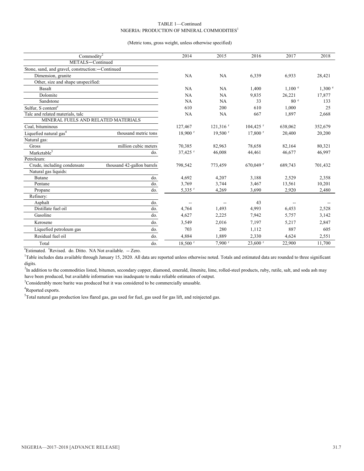#### TABLE 1—Continued NIGERIA: PRODUCTION OF MINERAL COMMODITIES<sup>1</sup>

#### (Metric tons, gross weight, unless otherwise specified)

| Commodity <sup>2</sup>                           | 2014                       | 2015                  | 2016                   | 2017                   | 2018                     |         |
|--------------------------------------------------|----------------------------|-----------------------|------------------------|------------------------|--------------------------|---------|
| METALS-Continued                                 |                            |                       |                        |                        |                          |         |
| Stone, sand, and gravel, construction:-Continued |                            |                       |                        |                        |                          |         |
| Dimension, granite                               |                            | NA                    | NA                     | 6.339                  | 6.933                    | 28,421  |
| Other, size and shape unspecified:               |                            |                       |                        |                        |                          |         |
| <b>Basalt</b>                                    |                            | NA                    | <b>NA</b>              | 1,400                  | 1.100 e                  | 1,300 ° |
| Dolomite                                         |                            | NA                    | NA                     | 9.835                  | 26,221                   | 17,877  |
| Sandstone                                        |                            | NA                    | NA                     | 33                     | 80 <sup>e</sup>          | 133     |
| Sulfur, S content <sup>e</sup>                   |                            | 610                   | 200                    | 610                    | 1,000                    | 25      |
| Talc and related materials, talc                 |                            | NA                    | NA                     | 667                    | 1.897                    | 2,668   |
| MINERAL FUELS AND RELATED MATERIALS              |                            |                       |                        |                        |                          |         |
| Coal. bituminous                                 |                            | 127,467               | $121,316$ <sup>r</sup> | $104,425$ <sup>r</sup> | 638,062                  | 352,679 |
| Liquefied natural gas <sup>4</sup>               | thousand metric tons       | $18,900$ <sup>r</sup> | $19,500$ <sup>r</sup>  | $17,800$ <sup>r</sup>  | 20,400                   | 20,200  |
| Natural gas:                                     |                            |                       |                        |                        |                          |         |
| Gross                                            | million cubic meters       | 70,385                | 82,963                 | 78.658                 | 82,164                   | 80,321  |
| Marketable $\overline{5}$                        | do.                        | 37,425 <sup>r</sup>   | 46,008                 | 44,461                 | 46,677                   | 46,997  |
| Petroleum:                                       |                            |                       |                        |                        |                          |         |
| Crude, including condensate                      | thousand 42-gallon barrels | 798,542               | 773,459                | $670.049$ <sup>r</sup> | 689,743                  | 701,432 |
| Natural gas liquids:                             |                            |                       |                        |                        |                          |         |
| Butane                                           | do.                        | 4,692                 | 4,207                  | 3,188                  | 2,529                    | 2,358   |
| Pentane                                          | do.                        | 3,769                 | 3,744                  | 3,467                  | 13,561                   | 10,201  |
| Propane                                          | do.                        | $5,335$ <sup>r</sup>  | 4,269                  | 3,690                  | 2,920                    | 2,480   |
| Refinery:                                        |                            |                       |                        |                        |                          |         |
| Asphalt                                          | do.                        |                       | $- -$                  | 43                     | $\overline{\phantom{a}}$ |         |
| Distillate fuel oil                              | do.                        | 4,764                 | 1,493                  | 4,993                  | 6,453                    | 2,528   |
| Gasoline                                         | do.                        | 4,627                 | 2,225                  | 7.942                  | 5.757                    | 3,142   |
| Kerosene                                         | do.                        | 3,549                 | 2,016                  | 7,197                  | 5,217                    | 2,847   |
| Liquefied petroleum gas                          | do.                        | 703                   | 280                    | 1,112                  | 887                      | 605     |
| Residual fuel oil                                | do.                        | 4,884                 | 1,889                  | 2,330                  | 4,624                    | 2,551   |
| Total                                            | do.                        | $18,500$ <sup>r</sup> | $7,900$ <sup>r</sup>   | $23,600$ <sup>r</sup>  | 22,900                   | 11,700  |
|                                                  |                            |                       |                        |                        |                          |         |

<sup>e</sup>Estimated. <sup>r</sup>Revised. do. Ditto. NA Not available. -- Zero.

<sup>1</sup>Table includes data available through January 15, 2020. All data are reported unless otherwise noted. Totals and estimated data are rounded to three significant digits.

<sup>2</sup>In addition to the commodities listed, bitumen, secondary copper, diamond, emerald, ilmenite, lime, rolled-steel products, ruby, rutile, salt, and soda ash may have been produced, but available information was inadequate to make reliable estimates of output.

 $3$ Considerably more barite was produced but it was considered to be commercially unusable.

<sup>4</sup>Reported exports.

<sup>5</sup>Total natural gas production less flared gas, gas used for fuel, gas used for gas lift, and reinjected gas.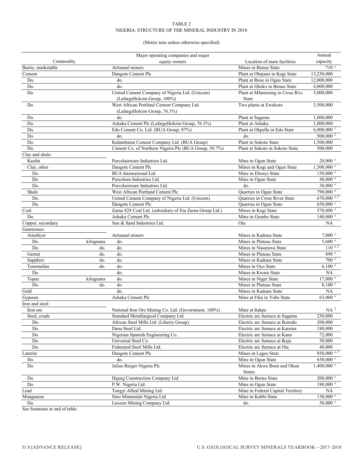#### TABLE 2 NIGERIA: STRUCTURE OF THE MINERAL INDUSTRY IN 2018

#### (Metric tons unless otherwise specified)

|                    |           | Major operating companies and major                    |                                                      | Annual                           |
|--------------------|-----------|--------------------------------------------------------|------------------------------------------------------|----------------------------------|
| Commodity          |           | equity owners                                          | Location of main facilities                          | capacity                         |
| Barite, marketable |           | Artisanal miners                                       | Mines in Benue State                                 | 710 <sup>e</sup>                 |
| Cement             |           | Dangote Cement Plc                                     | Plant at Obajana in Kogi State                       | 13,250,000                       |
| Do.                |           | do.                                                    | Plant at Ibese in Ogun State                         | 12,000,000                       |
| Do.                |           | do.                                                    | Plant at Gboko in Benue State                        | 4,000,000                        |
| Do.                |           | United Cement Company of Nigeria Ltd. (Unicem)         | Plant at Mfamosing in Cross Rive                     | 5,000,000                        |
|                    |           | (LafargeHolcim Group, 100%)                            | State                                                |                                  |
| Do.                |           | West African Portland Cement Company Ltd.              | Two plants at Ewekoro                                | 3,500,000                        |
|                    |           | (LafargeHolcim Group, 76.3%)                           |                                                      |                                  |
| Do.                |           | do.                                                    | Plant at Sagamu                                      | 1,000,000                        |
| Do.                |           | Ashaka Cement Plc (LafargeHolcim Group, 76.3%)         | Plant at Ashaka                                      | 1,000,000                        |
| Do.                |           | Edo Cement Co. Ltd. (BUA Group, 87%)                   | Plant at Okpella in Edo State                        | $6,000,000$ <sup>1</sup>         |
| Do.                |           | do.                                                    | do.                                                  | 500,000 <sup>2</sup>             |
| Do.                |           | Kalambaina Cement Company Ltd. (BUA Group)             | Plant in Sokoto State                                | 1,500,000                        |
| Do.                |           | Cement Co. of Northern Nigeria Plc (BUA Group, 50.7%)  | Plant at Sokoto in Sokoto State                      | 500,000                          |
| Clay and shale:    |           |                                                        |                                                      |                                  |
| Kaolin             |           | Porcelainware Industries Ltd.                          | Mine in Ogun State                                   | $20,000$ $\degree$               |
| Clay, other        |           | Dangote Cement Plc<br><b>BUA</b> International Ltd.    | Mines in Kogi and Ogun State<br>Mine in Ebonyi State | $1,500,000$ e                    |
| Do.<br>Do.         |           | Purechem Industries Ltd.                               | Mine in Ogun State                                   | $150,000$ e<br>48,000 $^{\circ}$ |
| Do.                |           | Porcelainware Industries Ltd.                          | do.                                                  | 38,000 $^{\circ}$                |
| Shale              |           | West African Portland Cement Plc                       | Quarries in Ogun State                               | $790,000$ $\degree$              |
| Do.                |           | United Cement Company of Nigeria Ltd. (Unicem)         | Quarries in Cross River State                        | $670,000$ <sup>e, 2</sup>        |
| Do.                |           | Dangote Cement Plc                                     | Quarries in Ogun State                               | $650,000$ $\degree$              |
| Coal               |           | Zuma 828 Coal Ltd. (subsidiary of Eta Zuma Group Ltd.) | Mines in Kogi State                                  | 570,000 °                        |
| Do.                |           | Ashaka Cement Plc                                      | Mine in Gombe State                                  | $140,000$ <sup>e</sup>           |
| Copper, secondary  |           | Sun & Sand Industries Ltd.                             | Ota                                                  | NA                               |
| Gemstones:         |           |                                                        |                                                      |                                  |
| Amethyst           |           | Artisanal miners                                       | Mines in Kaduna State                                | $7,000$ $e$                      |
| Do.                | kilograms | do.                                                    | Mines in Plateau State                               | 5,600 °                          |
| Do.                | do.       | do.                                                    | Mines in Nasarawa State                              | $110^{e,2}$                      |
| Garnet             | do.       | do.                                                    | Mines in Plateau State                               | 890 e                            |
| Sapphire           | do.       | do.                                                    | Mines in Kaduna State                                | 700 e                            |
| Tourmaline         | do.       | do.                                                    | Mines in Oyo State                                   | 6,100 °                          |
| Do.                |           | do.                                                    | Mines in Kwara State                                 | <b>NA</b>                        |
| Topaz              | kilograms | do.                                                    | Mines in Niger State                                 | $17,000$ $\degree$               |
| Do.                | do.       | do.                                                    | Mines in Plateau State                               | 8,100 °                          |
| Gold               |           | do.                                                    | Mines in Kaduna State                                | NA                               |
| Gypsum             |           | Ashaka Cement Plc                                      | Mine at Fika in Yobe State                           | $63,000$ e                       |
| Iron and steel:    |           |                                                        |                                                      |                                  |
| Iron ore           |           | National Iron Ore Mining Co. Ltd. (Government, 100%)   | Mine at Itakpe                                       | NA <sup>2</sup>                  |
| Steel, crude       |           | Standard Metallurgical Company Ltd.                    | Electric arc furnace at Sagamu                       | 250,000                          |
| Do.                |           | African Steel Mills Ltd. (Liberty Group)               | Electric arc furnace at Ikorodu                      | 200,000                          |
| Do.                |           | Dana Steel Ltd.                                        | Electric arc furnace at Katsina                      | 180,000                          |
| Do.                |           | Nigerian Spanish Engineering Co.                       | Electric arc furnace at Kano                         | 72,000                           |
| Do.                |           | Universal Steel Co.                                    | Electric arc furnace at Ikeja                        | 50,000                           |
| Do.                |           | Federated Steel Mills Ltd.                             | Electric arc furnace at Ota                          | 40,000                           |
| Laterite           |           | Dangote Cement Plc                                     | Mines in Lagos State                                 | $850,000$ e, 2                   |
| Do.                |           | do.                                                    | Mine in Ogun State                                   | $650,000$ $\degree$              |
| Do.                |           | Julius Berger Nigeria Plc                              | Mines in Akwa Ibom and Okun<br><b>States</b>         | $1,400,000$ e                    |
| Do.                |           | Hajaig Construction Company Ltd                        | Mine in Borno State                                  | $200,000$ $^{\circ}$             |
| Do.                |           | P.W. Nigeria Ltd.                                      | Mine in Ogun State                                   | $180,000$ $\degree$              |
| Lead               |           | Tongyi Allied Mining Ltd.                              | Mine in Federal Capital Territory                    | NA                               |
| Manganese          |           | Sino Minmetals Nigeria Ltd.                            | Mine in Kebbi State                                  | $130,000$ $\degree$              |
| Do.                |           | Luxeon Mining Company Ltd.                             | do.                                                  | $50,000$ $\degree$               |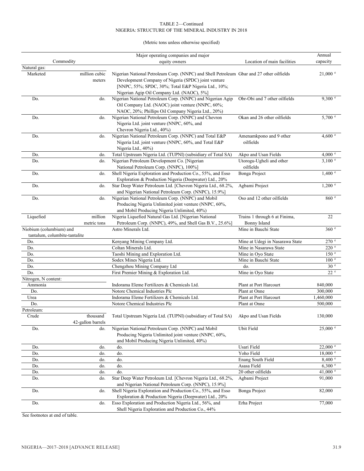#### TABLE 2—Continued NIGERIA: STRUCTURE OF THE MINERAL INDUSTRY IN 2018

#### (Metric tons unless otherwise specified)

|                                      |                   | Major operating companies and major                                                      |                                 | Annual             |
|--------------------------------------|-------------------|------------------------------------------------------------------------------------------|---------------------------------|--------------------|
| Commodity                            |                   | equity owners                                                                            | Location of main facilities     | capacity           |
| Natural gas:                         |                   |                                                                                          |                                 |                    |
| Marketed                             | million cubic     | Nigerian National Petroleum Corp. (NNPC) and Shell Petroleum Gbar and 27 other oilfields |                                 | $21,000$ $\degree$ |
|                                      | meters            | Development Company of Nigeria (SPDC) joint venture                                      |                                 |                    |
|                                      |                   | [NNPC, 55%; SPDC, 30%; Total E&P Nigeria Ltd., 10%;                                      |                                 |                    |
|                                      |                   | Nigerian Agip Oil Company Ltd. (NAOC), 5%]                                               |                                 |                    |
| Do.                                  | do.               | Nigerian National Petroleum Corp. (NNPC) and Nigerian Agip                               | Obr-Obi and 7 other oilfields   | 9,300 °            |
|                                      |                   | Oil Company Ltd. (NAOC) joint venture (NNPC, 60%;                                        |                                 |                    |
|                                      |                   | NAOC, 20%; Phillips Oil Company Nigeria Ltd., 20%)                                       |                                 |                    |
| Do.                                  | do.               | Nigerian National Petroleum Corp. (NNPC) and Chevron                                     | Okan and 26 other oilfields     | $5,700$ $\degree$  |
|                                      |                   | Nigeria Ltd. joint venture (NNPC, 60%, and                                               |                                 |                    |
|                                      |                   | Chevron Nigeria Ltd., 40%)                                                               |                                 |                    |
| Do.                                  | do.               | Nigerian National Petroleum Corp. (NNPC) and Total E&P                                   | Amenamkpono and 9 other         | 4,600 $^{\circ}$   |
|                                      |                   | Nigeria Ltd. joint venture (NNPC, 60%, and Total E&P                                     | oilfields                       |                    |
|                                      |                   | Nigeria Ltd., 40%)                                                                       |                                 |                    |
| Do.                                  | do.               | Total Upstream Nigeria Ltd. (TUPNI) (subsidiary of Total SA)                             | Akpo and Usan Fields            | $4,000^{\circ}$    |
| Do.                                  | do.               | Nigerian Petroleum Development Co. [Nigerian                                             | Utorogu-Ugheli and other        | $3,100$ e          |
|                                      |                   | National Petroleum Corp. (NNPC), 100%]                                                   | oilfields                       |                    |
| Do.                                  | do.               | Shell Nigeria Exploration and Production Co., 55%, and Esso                              | Bonga Project                   | $1,400$ $\degree$  |
|                                      |                   | Exploration & Production Nigeria (Deepwater) Ltd., 20%                                   |                                 |                    |
| Do.                                  | do.               | Star Deep Water Petroleum Ltd. [Chevron Nigeria Ltd., 68.2%,                             | Agbami Project                  | $1,200$ $\degree$  |
|                                      |                   | and Nigerian National Petroleum Corp. (NNPC), 15.9%]                                     |                                 |                    |
| Do.                                  | do.               | Nigerian National Petroleum Corp. (NNPC) and Mobil                                       | Oso and 12 other oilfields      | 860 e              |
|                                      |                   | Producing Nigeria Unlimited joint venture (NNPC, 60%,                                    |                                 |                    |
|                                      | million           | and Mobil Producing Nigeria Unlimited, 40%)                                              |                                 |                    |
| Liquefied                            |                   | Nigeria Liquefied Natural Gas Ltd. [Nigerian National                                    | Trains 1 through 6 at Finima,   | 22                 |
|                                      | metric tons       | Petroleum Corp. (NNPC), 49%, and Shell Gas B.V., 25.6%]                                  | <b>Bonny Island</b>             |                    |
| Niobium (columbium) and              |                   | Astro Minerals Ltd.                                                                      | Mine in Bauchi State            | 360 e              |
| tantalum, columbite-tantalite<br>Do. |                   | Kenyang Mining Company Ltd.                                                              | Mine at Udegi in Nasarawa State | 270 e              |
| Do.                                  |                   | Coltan Minerals Ltd.                                                                     | Mine in Nasarawa State          | 220 e              |
| Do.                                  |                   | Taoshi Mining and Exploration Ltd.                                                       | Mine in Oyo State               | 150 <sup>e</sup>   |
| Do.                                  |                   | Sodex Mines Nigeria Ltd.                                                                 | Mine in Bauchi State            | 100 <sup>e</sup>   |
| Do.                                  |                   | Chengzhou Mining Company Ltd                                                             | do.                             | 30 <sup>e</sup>    |
| Do.                                  |                   | First Premier Mining & Exploration Ltd.                                                  | Mine in Oyo State               | 22e                |
| Nitrogen, N content:                 |                   |                                                                                          |                                 |                    |
| Ammonia                              |                   | Indorama Eleme Fertilizers & Chemicals Ltd.                                              | Plant at Port Harcourt          | 840,000            |
| Do.                                  |                   | Notore Chemical Industries Plc                                                           | Plant at Onne                   | 300,000            |
| Urea                                 |                   | Indorama Eleme Fertilizers & Chemicals Ltd.                                              | Plant at Port Harcourt          | 1,460,000          |
| Do.                                  |                   | Notore Chemical Industries Plc                                                           | Plant at Onne                   | 500,000            |
| Petroleum:                           |                   |                                                                                          |                                 |                    |
| Crude                                | thousand          | Total Upstream Nigeria Ltd. (TUPNI) (subsidiary of Total SA)                             | Akpo and Usan Fields            | 130,000            |
|                                      | 42-gallon barrels |                                                                                          |                                 |                    |
| Do.                                  | do.               | Nigerian National Petroleum Corp. (NNPC) and Mobil                                       | Ubit Field                      | 25,000 °           |
|                                      |                   | Producing Nigeria Unlimited joint venture (NNPC, 60%,                                    |                                 |                    |
|                                      |                   | and Mobil Producing Nigeria Unlimited, 40%)                                              |                                 |                    |
| Do.                                  | do.               | do.                                                                                      | Usari Field                     | $22,000$ e         |
| Do.                                  | do.               | do.                                                                                      | Yoho Field                      | $18,000$ $e$       |
| Do.                                  | do.               | do.                                                                                      | Enang South Field               | 8,400 °            |
| Do.                                  | do.               | do.                                                                                      | Asasa Field                     | 6,300 °            |
| Do.                                  | do.               | do.                                                                                      | 20 other oilfields              | 41,000 $^{\circ}$  |
| Do.                                  | do.               | Star Deep Water Petroleum Ltd. [Chevron Nigeria Ltd., 68.2%,                             | Agbami Project                  | 91,000             |
|                                      |                   | and Nigerian National Petroleum Corp. (NNPC), 15.9%]                                     |                                 |                    |
| Do.                                  | do.               | Shell Nigeria Exploration and Production Co., 55%, and Esso                              | Bonga Project                   | 82,000             |
|                                      |                   | Exploration & Production Nigeria (Deepwater) Ltd., 20%                                   |                                 |                    |
| Do.                                  | do.               | Esso Exploration and Production Nigeria Ltd., 56%, and                                   | Erha Project                    | 77,000             |
|                                      |                   | Shell Nigeria Exploration and Production Co., 44%                                        |                                 |                    |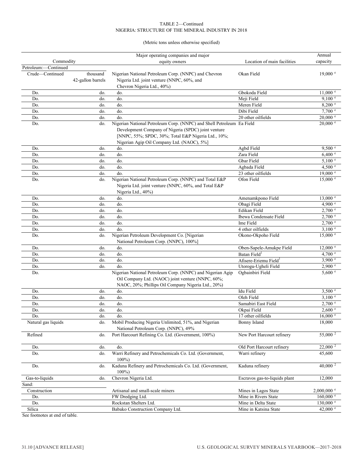#### TABLE 2—Continued NIGERIA: STRUCTURE OF THE MINERAL INDUSTRY IN 2018

(Metric tons unless otherwise specified)

|                      |                   | Major operating companies and major                                   |                                   | Annual              |
|----------------------|-------------------|-----------------------------------------------------------------------|-----------------------------------|---------------------|
| Commodity            |                   | equity owners                                                         | Location of main facilities       | capacity            |
| Petroleum:-Continued |                   |                                                                       |                                   |                     |
| Crude-Continued      | thousand          | Nigerian National Petroleum Corp. (NNPC) and Chevron                  | Okan Field                        | $19,000$ $e$        |
|                      | 42-gallon barrels | Nigeria Ltd. joint venture (NNPC, 60%, and                            |                                   |                     |
|                      |                   | Chevron Nigeria Ltd., 40%)                                            |                                   |                     |
| Do.                  | do.               | do.                                                                   | Gbokoda Field                     | $11,000$ $\degree$  |
| Do.                  | do.               | do.                                                                   | Meji Field                        | 9,100 °             |
| Do.                  | do.               | do.                                                                   | Meren Field                       | 8,200 °             |
| Do.                  | do.               | do.                                                                   | Dibi Field                        | 7,700 °             |
| Do.                  | do.               | do.                                                                   | 20 other oilfields                | $20,000$ $\degree$  |
| Do.                  | do.               | Nigerian National Petroleum Corp. (NNPC) and Shell Petroleum Ea Field |                                   | $20,000$ $\degree$  |
|                      |                   | Development Company of Nigeria (SPDC) joint venture                   |                                   |                     |
|                      |                   | [NNPC, 55%; SPDC, 30%; Total E&P Nigeria Ltd., 10%;                   |                                   |                     |
|                      | do.               | Nigerian Agip Oil Company Ltd. (NAOC), 5%]<br>do.                     | Agbd Field                        | 9,500 °             |
| Do.<br>Do.           | do.               | do.                                                                   | Zara Field                        | 6,400 °             |
| Do.                  | do.               | do.                                                                   | Gbar Field                        | $5,100^{\circ}$     |
| Do.                  | do.               | do.                                                                   | Agbada Field                      | 4,500 °             |
| Do.                  | do.               | do.                                                                   | 23 other oilfields                | $19,000$ $e$        |
| Do.                  | do.               | Nigerian National Petroleum Corp. (NNPC) and Total E&P                | Ofon Field                        | 15,000 °            |
|                      |                   | Nigeria Ltd. joint venture (NNPC, 60%, and Total E&P                  |                                   |                     |
|                      |                   | Nigeria Ltd., 40%)                                                    |                                   |                     |
| Do.                  | do.               | do.                                                                   | Amenamkpono Field                 | $13,000$ $\degree$  |
| Do.                  | do.               | do.                                                                   | Obagi Field                       | 4,900 $^{\circ}$    |
| Do.                  | do.               | do.                                                                   | <b>Edikan Field</b>               | $2,700$ $\degree$   |
| Do.                  | do.               | do.                                                                   | Ibewa Condensate Field            | $2,700$ $\degree$   |
| Do.                  | do.               | do.                                                                   | Ime Field                         | $2,700$ $\degree$   |
| Do.                  | do.               | do.                                                                   | 4 other oilfields                 | 3,100 °             |
| Do.                  | do.               | Nigerian Petroleum Development Co. [Nigerian                          | Okono-Okpoho Field                | $15,000$ $\degree$  |
|                      |                   | National Petroleum Corp. (NNPC), 100%]                                |                                   |                     |
| Do.                  | do.               | do.                                                                   | Oben-Sapele-Amukpe Field          | $12,000$ $e$        |
| Do.                  | do.               | do.                                                                   | Batan Field <sup>1</sup>          | $4,700$ e           |
| Do.                  | do.               | do.                                                                   | Afisere-Eriemu Field <sup>1</sup> | 3,900 °             |
| Do.                  | do.               | do.                                                                   | Utorogu-Ugheli Field              | 2,900 °             |
| Do.                  |                   | Nigerian National Petroleum Corp. (NNPC) and Nigerian Agip            | Ogbainbiri Field                  | 5,600 °             |
|                      |                   | Oil Company Ltd. (NAOC) joint venture (NNPC, 60%;                     |                                   |                     |
|                      |                   | NAOC, 20%; Phillips Oil Company Nigeria Ltd., 20%)                    |                                   |                     |
| Do.                  | do.               | do.                                                                   | Idu Field                         | $3,500^{\circ}$     |
| Do.                  | do.               | do.                                                                   | Oleh Field                        | 3,100 °             |
| Do.                  | do.               | do.                                                                   | Samabiri East Field               | $2,700$ $\degree$   |
| Do.                  | do.               | do.                                                                   | Okpai Field                       | 2,600 e             |
| Do.                  | do.               | do.                                                                   | 17 other oilfields                | 16,000 e            |
| Natural gas liquids  | do.               | Mobil Producing Nigeria Unlimited, 51%, and Nigerian                  | <b>Bonny Island</b>               | 18,000              |
|                      |                   | National Petroleum Corp. (NNPC), 49%                                  |                                   |                     |
| Refined              | do.               | Port Harcourt Refining Co. Ltd. (Government, 100%)                    | New Port Harcourt refinery        | 55,000 $^2$         |
|                      |                   |                                                                       |                                   |                     |
| Do.                  | do.               | do.                                                                   | Old Port Harcourt refinery        | 22,000 <sup>2</sup> |
| Do.                  | do.               | Warri Refinery and Petrochemicals Co. Ltd. (Government,               | Warri refinery                    | 45,600              |
| Do.                  | do.               | $100\%$<br>Kaduna Refinery and Petrochemicals Co. Ltd. (Government,   | Kaduna refinery                   | $40,000^2$          |
|                      |                   | $100\%$                                                               |                                   |                     |
| Gas-to-liquids       | do.               | Chevron Nigeria Ltd.                                                  | Escravos gas-to-liquids plant     | 12,000              |
| Sand:                |                   |                                                                       |                                   |                     |
| Construction         |                   | Artisanal and small-scale miners                                      | Mines in Lagos State              | $2,000,000$ °       |
| Do.                  |                   | FW Dredging Ltd.                                                      | Mine in Rivers State              | $160,000$ $\degree$ |
| Do.                  |                   | Rockstan Shelters Ltd.                                                | Mine in Delta State               | $130,000$ $\degree$ |
| Silica               |                   | Babako Construction Company Ltd.                                      | Mine in Katsina State             | 42,000 $^{\circ}$   |
|                      |                   |                                                                       |                                   |                     |